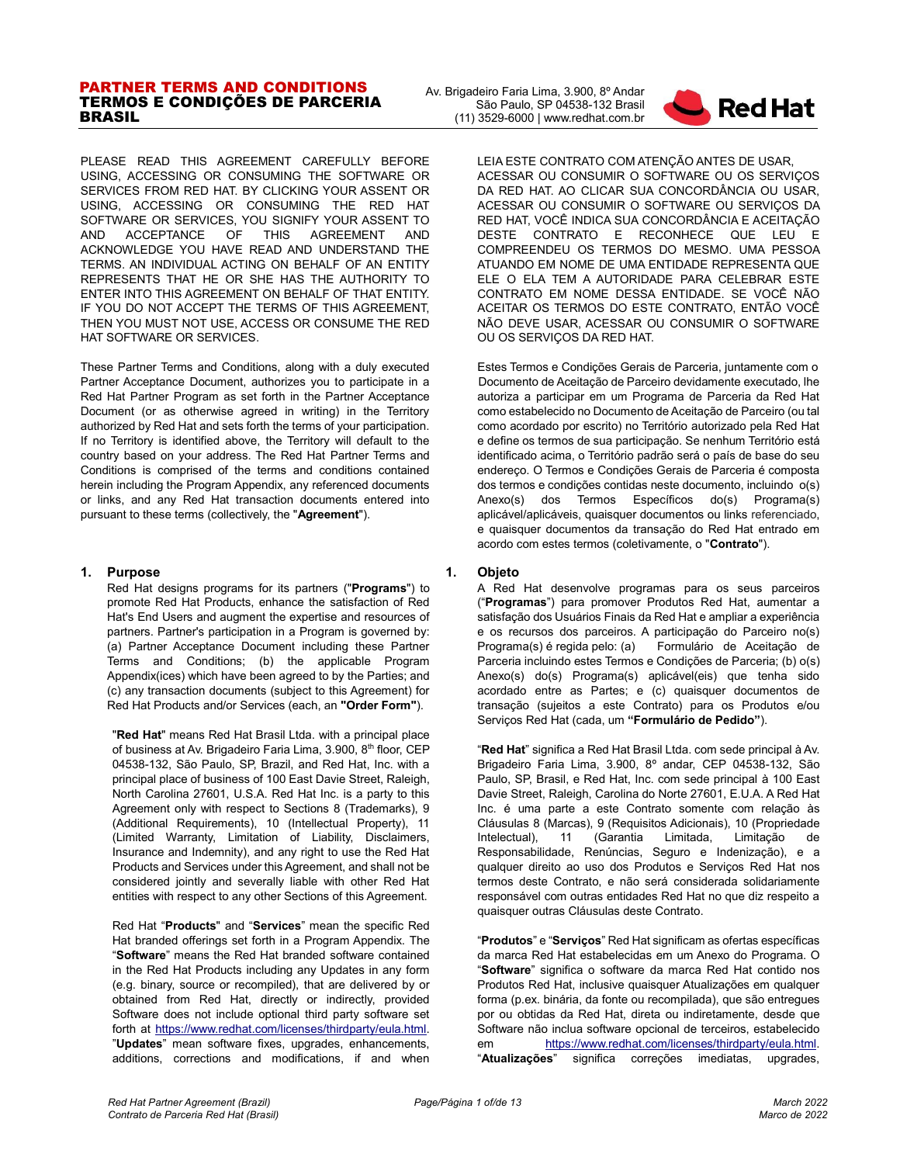#### PARTNER TERMS AND CONDITIONS TERMOS E CONDIÇÕES DE PARCERIA BRASIL

PLEASE READ THIS AGREEMENT CAREFULLY BEFORE USING, ACCESSING OR CONSUMING THE SOFTWARE OR SERVICES FROM RED HAT. BY CLICKING YOUR ASSENT OR USING, ACCESSING OR CONSUMING THE RED HAT SOFTWARE OR SERVICES, YOU SIGNIFY YOUR ASSENT TO AND ACCEPTANCE OF THIS AGREEMENT AND ACKNOWLEDGE YOU HAVE READ AND UNDERSTAND THE TERMS. AN INDIVIDUAL ACTING ON BEHALF OF AN ENTITY REPRESENTS THAT HE OR SHE HAS THE AUTHORITY TO ENTER INTO THIS AGREEMENT ON BEHALF OF THAT ENTITY. IF YOU DO NOT ACCEPT THE TERMS OF THIS AGREEMENT, THEN YOU MUST NOT USE, ACCESS OR CONSUME THE RED HAT SOFTWARE OR SERVICES.

These Partner Terms and Conditions, along with a duly executed Partner Acceptance Document, authorizes you to participate in a Red Hat Partner Program as set forth in the Partner Acceptance Document (or as otherwise agreed in writing) in the Territory authorized by Red Hat and sets forth the terms of your participation. If no Territory is identified above, the Territory will default to the country based on your address. The Red Hat Partner Terms and Conditions is comprised of the terms and conditions contained herein including the Program Appendix, any referenced documents or links, and any Red Hat transaction documents entered into pursuant to these terms (collectively, the "**Agreement**").

#### **1. Purpose**

Red Hat designs programs for its partners ("**Programs**") to promote Red Hat Products, enhance the satisfaction of Red Hat's End Users and augment the expertise and resources of partners. Partner's participation in a Program is governed by: (a) Partner Acceptance Document including these Partner Terms and Conditions; (b) the applicable Program Appendix(ices) which have been agreed to by the Parties; and (c) any transaction documents (subject to this Agreement) for Red Hat Products and/or Services (each, an **"Order Form"**).

"**Red Hat**" means Red Hat Brasil Ltda. with a principal place of business at Av. Brigadeiro Faria Lima, 3.900, 8<sup>th</sup> floor, CEP 04538-132, São Paulo, SP, Brazil, and Red Hat, Inc. with a principal place of business of 100 East Davie Street, Raleigh, North Carolina 27601, U.S.A. Red Hat Inc. is a party to this Agreement only with respect to Sections 8 (Trademarks), 9 (Additional Requirements), 10 (Intellectual Property), 11 (Limited Warranty, Limitation of Liability, Disclaimers, Insurance and Indemnity), and any right to use the Red Hat Products and Services under this Agreement, and shall not be considered jointly and severally liable with other Red Hat entities with respect to any other Sections of this Agreement.

Red Hat "**Products**" and "**Services**" mean the specific Red Hat branded offerings set forth in a Program Appendix. The "**Software**" means the Red Hat branded software contained in the Red Hat Products including any Updates in any form (e.g. binary, source or recompiled), that are delivered by or obtained from Red Hat, directly or indirectly, provided Software does not include optional third party software set forth at [https://www.redhat.com/licenses/thirdparty/eula.html.](https://www.redhat.com/licenses/thirdparty/eula.html) "**Updates**" mean software fixes, upgrades, enhancements, additions, corrections and modifications, if and when



LEIA ESTE CONTRATO COM ATENÇÃO ANTES DE USAR, ACESSAR OU CONSUMIR O SOFTWARE OU OS SERVIÇOS DA RED HAT. AO CLICAR SUA CONCORDÂNCIA OU USAR, ACESSAR OU CONSUMIR O SOFTWARE OU SERVIÇOS DA RED HAT, VOCÊ INDICA SUA CONCORDÂNCIA E ACEITAÇÃO DESTE CONTRATO E RECONHECE QUE LEU E COMPREENDEU OS TERMOS DO MESMO. UMA PESSOA ATUANDO EM NOME DE UMA ENTIDADE REPRESENTA QUE ELE O ELA TEM A AUTORIDADE PARA CELEBRAR ESTE CONTRATO EM NOME DESSA ENTIDADE. SE VOCÊ NÃO ACEITAR OS TERMOS DO ESTE CONTRATO, ENTÃO VOCÊ NÃO DEVE USAR, ACESSAR OU CONSUMIR O SOFTWARE OU OS SERVIÇOS DA RED HAT.

Estes Termos e Condições Gerais de Parceria, juntamente com o Documento de Aceitação de Parceiro devidamente executado, lhe autoriza a participar em um Programa de Parceria da Red Hat como estabelecido no Documento de Aceitação de Parceiro (ou tal como acordado por escrito) no Território autorizado pela Red Hat e define os termos de sua participação. Se nenhum Território está identificado acima, o Território padrão será o país de base do seu endereço. O Termos e Condições Gerais de Parceria é composta dos termos e condições contidas neste documento, incluindo o(s) Anexo(s) dos Termos Específicos do(s) Programa(s) aplicável/aplicáveis, quaisquer documentos ou links referenciado, e quaisquer documentos da transação do Red Hat entrado em acordo com estes termos (coletivamente, o "**Contrato**").

# **1. Objeto**

A Red Hat desenvolve programas para os seus parceiros ("**Programas**") para promover Produtos Red Hat, aumentar a satisfação dos Usuários Finais da Red Hat e ampliar a experiência e os recursos dos parceiros. A participação do Parceiro no(s) Programa(s) é regida pelo: (a) Formulário de Aceitação de Parceria incluindo estes Termos e Condições de Parceria; (b) o(s) Anexo(s) do(s) Programa(s) aplicável(eis) que tenha sido acordado entre as Partes; e (c) quaisquer documentos de transação (sujeitos a este Contrato) para os Produtos e/ou Serviços Red Hat (cada, um **"Formulário de Pedido"**).

"**Red Hat**" significa a Red Hat Brasil Ltda. com sede principal à Av. Brigadeiro Faria Lima, 3.900, 8º andar, CEP 04538-132, São Paulo, SP, Brasil, e Red Hat, Inc. com sede principal à 100 East Davie Street, Raleigh, Carolina do Norte 27601, E.U.A. A Red Hat Inc. é uma parte a este Contrato somente com relação às Cláusulas 8 (Marcas), 9 (Requisitos Adicionais), 10 (Propriedade Intelectual), 11 (Garantia Limitada, Limitação de Responsabilidade, Renúncias, Seguro e Indenização), e a qualquer direito ao uso dos Produtos e Serviços Red Hat nos termos deste Contrato, e não será considerada solidariamente responsável com outras entidades Red Hat no que diz respeito a quaisquer outras Cláusulas deste Contrato.

"**Produtos**" e "**Serviços**" Red Hat significam as ofertas específicas da marca Red Hat estabelecidas em um Anexo do Programa. O "**Software**" significa o software da marca Red Hat contido nos Produtos Red Hat, inclusive quaisquer Atualizações em qualquer forma (p.ex. binária, da fonte ou recompilada), que são entregues por ou obtidas da Red Hat, direta ou indiretamente, desde que Software não inclua software opcional de terceiros, estabelecido em [https://www.redhat.com/licenses/thirdparty/eula.html.](https://www.redhat.com/licenses/thirdparty/eula.html)  "**Atualizações**" significa correções imediatas, upgrades,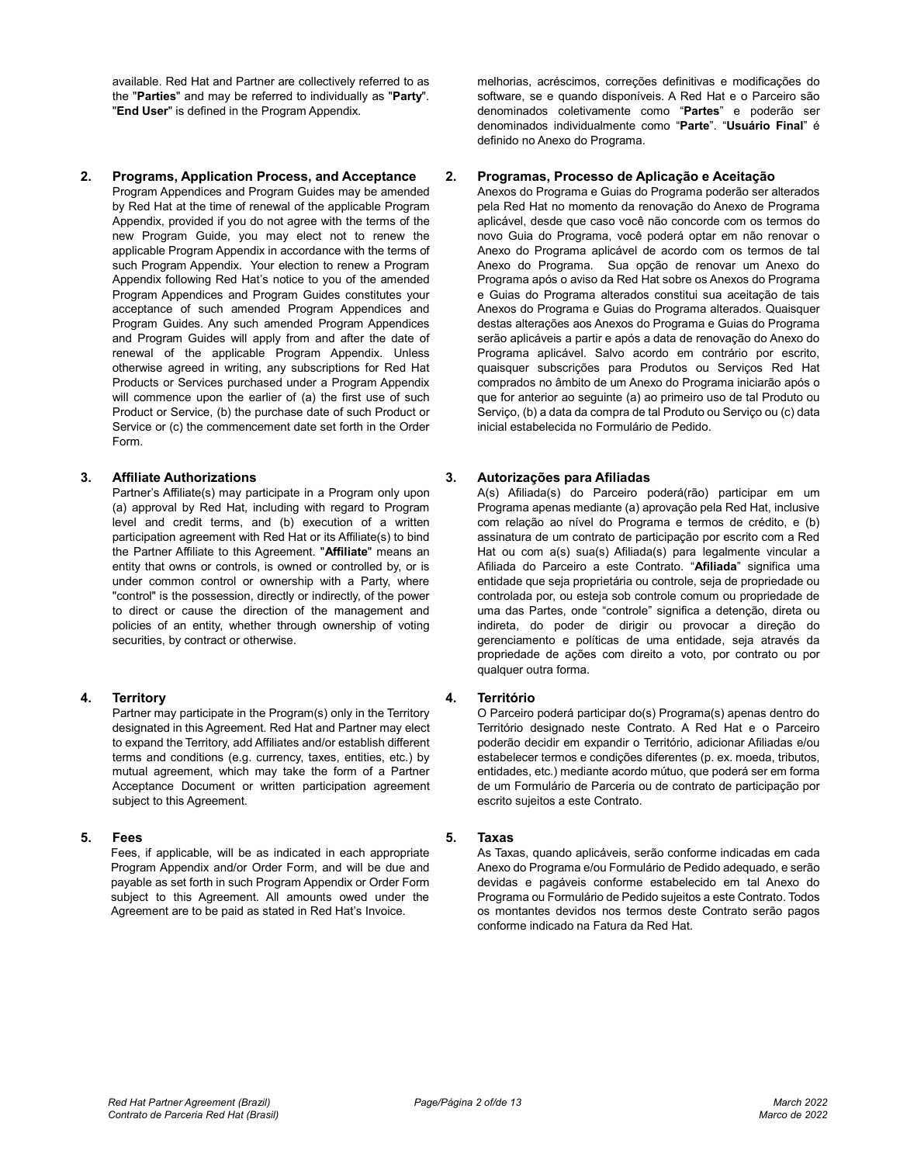available. Red Hat and Partner are collectively referred to as the "**Parties**" and may be referred to individually as "**Party**". "**End User**" is defined in the Program Appendix.

#### **2. Programs, Application Process, and Acceptance**

Program Appendices and Program Guides may be amended by Red Hat at the time of renewal of the applicable Program Appendix, provided if you do not agree with the terms of the new Program Guide, you may elect not to renew the applicable Program Appendix in accordance with the terms of such Program Appendix. Your election to renew a Program Appendix following Red Hat's notice to you of the amended Program Appendices and Program Guides constitutes your acceptance of such amended Program Appendices and Program Guides. Any such amended Program Appendices and Program Guides will apply from and after the date of renewal of the applicable Program Appendix. Unless otherwise agreed in writing, any subscriptions for Red Hat Products or Services purchased under a Program Appendix will commence upon the earlier of (a) the first use of such Product or Service, (b) the purchase date of such Product or Service or (c) the commencement date set forth in the Order Form.

# **3. Affiliate Authorizations**

Partner's Affiliate(s) may participate in a Program only upon (a) approval by Red Hat, including with regard to Program level and credit terms, and (b) execution of a written participation agreement with Red Hat or its Affiliate(s) to bind the Partner Affiliate to this Agreement. "**Affiliate**" means an entity that owns or controls, is owned or controlled by, or is under common control or ownership with a Party, where "control" is the possession, directly or indirectly, of the power to direct or cause the direction of the management and policies of an entity, whether through ownership of voting securities, by contract or otherwise.

# **4. Territory**

Partner may participate in the Program(s) only in the Territory designated in this Agreement. Red Hat and Partner may elect to expand the Territory, add Affiliates and/or establish different terms and conditions (e.g. currency, taxes, entities, etc.) by mutual agreement, which may take the form of a Partner Acceptance Document or written participation agreement subject to this Agreement.

# **5. Fees**

Fees, if applicable, will be as indicated in each appropriate Program Appendix and/or Order Form, and will be due and payable as set forth in such Program Appendix or Order Form subject to this Agreement. All amounts owed under the Agreement are to be paid as stated in Red Hat's Invoice.

melhorias, acréscimos, correções definitivas e modificações do software, se e quando disponíveis. A Red Hat e o Parceiro são denominados coletivamente como "**Partes**" e poderão ser denominados individualmente como "**Parte**". "**Usuário Final**" é definido no Anexo do Programa.

# **2. Programas, Processo de Aplicação e Aceitação**

Anexos do Programa e Guias do Programa poderão ser alterados pela Red Hat no momento da renovação do Anexo de Programa aplicável, desde que caso você não concorde com os termos do novo Guia do Programa, você poderá optar em não renovar o Anexo do Programa aplicável de acordo com os termos de tal Anexo do Programa. Sua opção de renovar um Anexo do Programa após o aviso da Red Hat sobre os Anexos do Programa e Guias do Programa alterados constitui sua aceitação de tais Anexos do Programa e Guias do Programa alterados. Quaisquer destas alterações aos Anexos do Programa e Guias do Programa serão aplicáveis a partir e após a data de renovação do Anexo do Programa aplicável. Salvo acordo em contrário por escrito, quaisquer subscrições para Produtos ou Serviços Red Hat comprados no âmbito de um Anexo do Programa iniciarão após o que for anterior ao seguinte (a) ao primeiro uso de tal Produto ou Serviço, (b) a data da compra de tal Produto ou Serviço ou (c) data inicial estabelecida no Formulário de Pedido.

# **3. Autorizações para Afiliadas**

A(s) Afiliada(s) do Parceiro poderá(rão) participar em um Programa apenas mediante (a) aprovação pela Red Hat, inclusive com relação ao nível do Programa e termos de crédito, e (b) assinatura de um contrato de participação por escrito com a Red Hat ou com a(s) sua(s) Afiliada(s) para legalmente vincular a Afiliada do Parceiro a este Contrato. "**Afiliada**" significa uma entidade que seja proprietária ou controle, seja de propriedade ou controlada por, ou esteja sob controle comum ou propriedade de uma das Partes, onde "controle" significa a detenção, direta ou indireta, do poder de dirigir ou provocar a direção do gerenciamento e políticas de uma entidade, seja através da propriedade de ações com direito a voto, por contrato ou por qualquer outra forma.

# **4. Território**

O Parceiro poderá participar do(s) Programa(s) apenas dentro do Território designado neste Contrato. A Red Hat e o Parceiro poderão decidir em expandir o Território, adicionar Afiliadas e/ou estabelecer termos e condições diferentes (p. ex. moeda, tributos, entidades, etc.) mediante acordo mútuo, que poderá ser em forma de um Formulário de Parceria ou de contrato de participação por escrito sujeitos a este Contrato.

# **5. Taxas**

As Taxas, quando aplicáveis, serão conforme indicadas em cada Anexo do Programa e/ou Formulário de Pedido adequado, e serão devidas e pagáveis conforme estabelecido em tal Anexo do Programa ou Formulário de Pedido sujeitos a este Contrato. Todos os montantes devidos nos termos deste Contrato serão pagos conforme indicado na Fatura da Red Hat.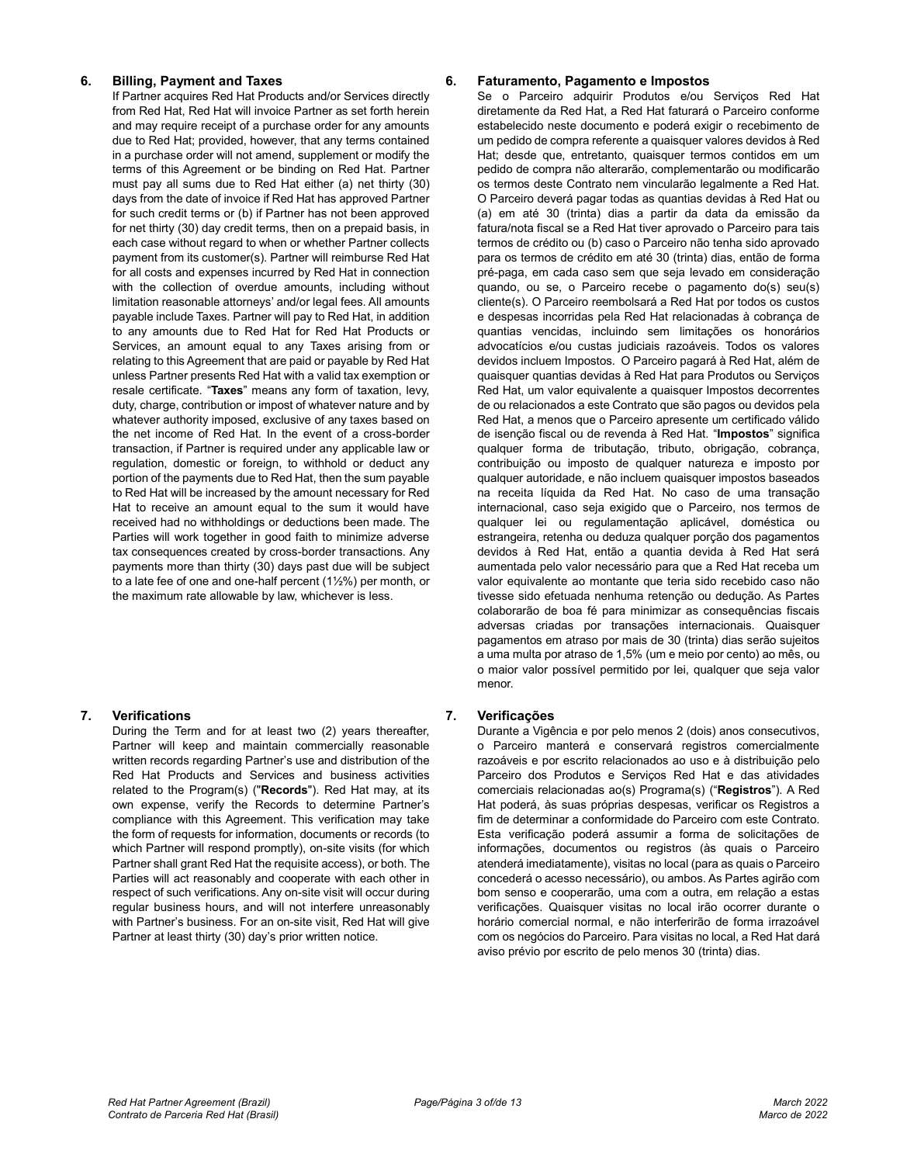#### **6. Billing, Payment and Taxes**

If Partner acquires Red Hat Products and/or Services directly from Red Hat, Red Hat will invoice Partner as set forth herein and may require receipt of a purchase order for any amounts due to Red Hat; provided, however, that any terms contained in a purchase order will not amend, supplement or modify the terms of this Agreement or be binding on Red Hat. Partner must pay all sums due to Red Hat either (a) net thirty (30) days from the date of invoice if Red Hat has approved Partner for such credit terms or (b) if Partner has not been approved for net thirty (30) day credit terms, then on a prepaid basis, in each case without regard to when or whether Partner collects payment from its customer(s). Partner will reimburse Red Hat for all costs and expenses incurred by Red Hat in connection with the collection of overdue amounts, including without limitation reasonable attorneys' and/or legal fees. All amounts payable include Taxes. Partner will pay to Red Hat, in addition to any amounts due to Red Hat for Red Hat Products or Services, an amount equal to any Taxes arising from or relating to this Agreement that are paid or payable by Red Hat unless Partner presents Red Hat with a valid tax exemption or resale certificate. "**Taxes**" means any form of taxation, levy, duty, charge, contribution or impost of whatever nature and by whatever authority imposed, exclusive of any taxes based on the net income of Red Hat. In the event of a cross-border transaction, if Partner is required under any applicable law or regulation, domestic or foreign, to withhold or deduct any portion of the payments due to Red Hat, then the sum payable to Red Hat will be increased by the amount necessary for Red Hat to receive an amount equal to the sum it would have received had no withholdings or deductions been made. The Parties will work together in good faith to minimize adverse tax consequences created by cross-border transactions. Any payments more than thirty (30) days past due will be subject to a late fee of one and one-half percent (1½%) per month, or the maximum rate allowable by law, whichever is less.

# **7. Verifications**

During the Term and for at least two (2) years thereafter, Partner will keep and maintain commercially reasonable written records regarding Partner's use and distribution of the Red Hat Products and Services and business activities related to the Program(s) ("**Records**"). Red Hat may, at its own expense, verify the Records to determine Partner's compliance with this Agreement. This verification may take the form of requests for information, documents or records (to which Partner will respond promptly), on-site visits (for which Partner shall grant Red Hat the requisite access), or both. The Parties will act reasonably and cooperate with each other in respect of such verifications. Any on-site visit will occur during regular business hours, and will not interfere unreasonably with Partner's business. For an on-site visit, Red Hat will give Partner at least thirty (30) day's prior written notice.

#### **6. Faturamento, Pagamento e Impostos**

Se o Parceiro adquirir Produtos e/ou Serviços Red Hat diretamente da Red Hat, a Red Hat faturará o Parceiro conforme estabelecido neste documento e poderá exigir o recebimento de um pedido de compra referente a quaisquer valores devidos à Red Hat; desde que, entretanto, quaisquer termos contidos em um pedido de compra não alterarão, complementarão ou modificarão os termos deste Contrato nem vincularão legalmente a Red Hat. O Parceiro deverá pagar todas as quantias devidas à Red Hat ou (a) em até 30 (trinta) dias a partir da data da emissão da fatura/nota fiscal se a Red Hat tiver aprovado o Parceiro para tais termos de crédito ou (b) caso o Parceiro não tenha sido aprovado para os termos de crédito em até 30 (trinta) dias, então de forma pré-paga, em cada caso sem que seja levado em consideração quando, ou se, o Parceiro recebe o pagamento do(s) seu(s) cliente(s). O Parceiro reembolsará a Red Hat por todos os custos e despesas incorridas pela Red Hat relacionadas à cobrança de quantias vencidas, incluindo sem limitações os honorários advocatícios e/ou custas judiciais razoáveis. Todos os valores devidos incluem Impostos. O Parceiro pagará à Red Hat, além de quaisquer quantias devidas à Red Hat para Produtos ou Serviços Red Hat, um valor equivalente a quaisquer Impostos decorrentes de ou relacionados a este Contrato que são pagos ou devidos pela Red Hat, a menos que o Parceiro apresente um certificado válido de isenção fiscal ou de revenda à Red Hat. "**Impostos**" significa qualquer forma de tributação, tributo, obrigação, cobrança, contribuição ou imposto de qualquer natureza e imposto por qualquer autoridade, e não incluem quaisquer impostos baseados na receita líquida da Red Hat. No caso de uma transação internacional, caso seja exigido que o Parceiro, nos termos de qualquer lei ou regulamentação aplicável, doméstica ou estrangeira, retenha ou deduza qualquer porção dos pagamentos devidos à Red Hat, então a quantia devida à Red Hat será aumentada pelo valor necessário para que a Red Hat receba um valor equivalente ao montante que teria sido recebido caso não tivesse sido efetuada nenhuma retenção ou dedução. As Partes colaborarão de boa fé para minimizar as consequências fiscais adversas criadas por transações internacionais. Quaisquer pagamentos em atraso por mais de 30 (trinta) dias serão sujeitos a uma multa por atraso de 1,5% (um e meio por cento) ao mês, ou o maior valor possível permitido por lei, qualquer que seja valor menor.

#### **7. Verificações**

Durante a Vigência e por pelo menos 2 (dois) anos consecutivos, o Parceiro manterá e conservará registros comercialmente razoáveis e por escrito relacionados ao uso e à distribuição pelo Parceiro dos Produtos e Serviços Red Hat e das atividades comerciais relacionadas ao(s) Programa(s) ("**Registros**"). A Red Hat poderá, às suas próprias despesas, verificar os Registros a fim de determinar a conformidade do Parceiro com este Contrato. Esta verificação poderá assumir a forma de solicitações de informações, documentos ou registros (às quais o Parceiro atenderá imediatamente), visitas no local (para as quais o Parceiro concederá o acesso necessário), ou ambos. As Partes agirão com bom senso e cooperarão, uma com a outra, em relação a estas verificações. Quaisquer visitas no local irão ocorrer durante o horário comercial normal, e não interferirão de forma irrazoável com os negócios do Parceiro. Para visitas no local, a Red Hat dará aviso prévio por escrito de pelo menos 30 (trinta) dias.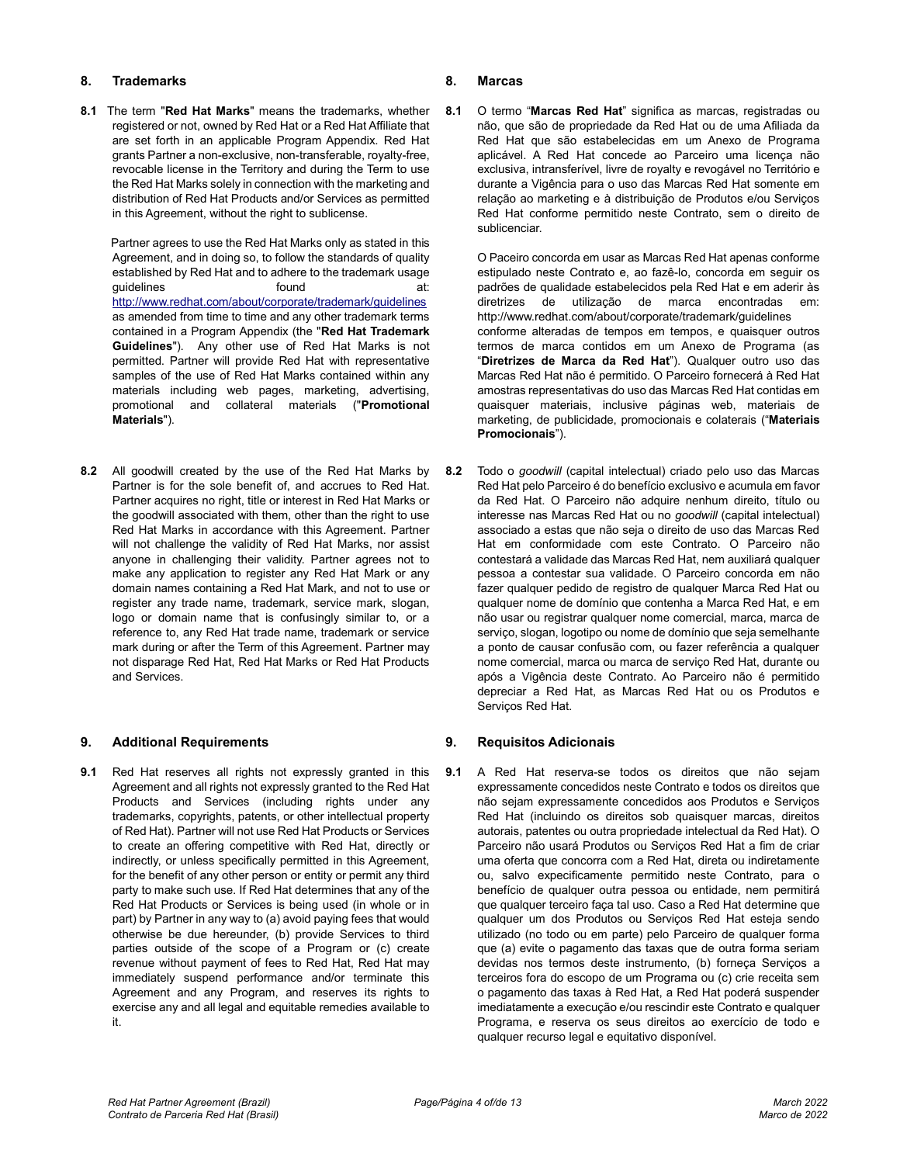# **8. Trademarks**

**8.1** The term "**Red Hat Marks**" means the trademarks, whether registered or not, owned by Red Hat or a Red Hat Affiliate that are set forth in an applicable Program Appendix. Red Hat grants Partner a non-exclusive, non-transferable, royalty-free, revocable license in the Territory and during the Term to use the Red Hat Marks solely in connection with the marketing and distribution of Red Hat Products and/or Services as permitted in this Agreement, without the right to sublicense.

Partner agrees to use the Red Hat Marks only as stated in this Agreement, and in doing so, to follow the standards of quality established by Red Hat and to adhere to the trademark usage quidelines found found at: <http://www.redhat.com/about/corporate/trademark/guidelines> as amended from time to time and any other trademark terms contained in a Program Appendix (the "**Red Hat Trademark Guidelines**"). Any other use of Red Hat Marks is not permitted. Partner will provide Red Hat with representative samples of the use of Red Hat Marks contained within any materials including web pages, marketing, advertising, promotional and collateral materials ("**Promotional Materials**").

**8.2** All goodwill created by the use of the Red Hat Marks by Partner is for the sole benefit of, and accrues to Red Hat. Partner acquires no right, title or interest in Red Hat Marks or the goodwill associated with them, other than the right to use Red Hat Marks in accordance with this Agreement. Partner will not challenge the validity of Red Hat Marks, nor assist anyone in challenging their validity. Partner agrees not to make any application to register any Red Hat Mark or any domain names containing a Red Hat Mark, and not to use or register any trade name, trademark, service mark, slogan, logo or domain name that is confusingly similar to, or a reference to, any Red Hat trade name, trademark or service mark during or after the Term of this Agreement. Partner may not disparage Red Hat, Red Hat Marks or Red Hat Products and Services.

# **9. Additional Requirements**

**9.1** Red Hat reserves all rights not expressly granted in this Agreement and all rights not expressly granted to the Red Hat Products and Services (including rights under any trademarks, copyrights, patents, or other intellectual property of Red Hat). Partner will not use Red Hat Products or Services to create an offering competitive with Red Hat, directly or indirectly, or unless specifically permitted in this Agreement, for the benefit of any other person or entity or permit any third party to make such use. If Red Hat determines that any of the Red Hat Products or Services is being used (in whole or in part) by Partner in any way to (a) avoid paying fees that would otherwise be due hereunder, (b) provide Services to third parties outside of the scope of a Program or (c) create revenue without payment of fees to Red Hat, Red Hat may immediately suspend performance and/or terminate this Agreement and any Program, and reserves its rights to exercise any and all legal and equitable remedies available to it.

# **8. Marcas**

**8.1** O termo "**Marcas Red Hat**" significa as marcas, registradas ou não, que são de propriedade da Red Hat ou de uma Afiliada da Red Hat que são estabelecidas em um Anexo de Programa aplicável. A Red Hat concede ao Parceiro uma licença não exclusiva, intransferível, livre de royalty e revogável no Território e durante a Vigência para o uso das Marcas Red Hat somente em relação ao marketing e à distribuição de Produtos e/ou Serviços Red Hat conforme permitido neste Contrato, sem o direito de sublicenciar.

O Paceiro concorda em usar as Marcas Red Hat apenas conforme estipulado neste Contrato e, ao fazê-lo, concorda em seguir os padrões de qualidade estabelecidos pela Red Hat e em aderir às diretrizes de utilização de marca encontradas http://www.redhat.com/about/corporate/trademark/guidelines conforme alteradas de tempos em tempos, e quaisquer outros termos de marca contidos em um Anexo de Programa (as "**Diretrizes de Marca da Red Hat**"). Qualquer outro uso das Marcas Red Hat não é permitido. O Parceiro fornecerá à Red Hat amostras representativas do uso das Marcas Red Hat contidas em quaisquer materiais, inclusive páginas web, materiais de marketing, de publicidade, promocionais e colaterais ("**Materiais Promocionais**").

**8.2** Todo o *goodwill* (capital intelectual) criado pelo uso das Marcas Red Hat pelo Parceiro é do benefício exclusivo e acumula em favor da Red Hat. O Parceiro não adquire nenhum direito, título ou interesse nas Marcas Red Hat ou no *goodwill* (capital intelectual) associado a estas que não seja o direito de uso das Marcas Red Hat em conformidade com este Contrato. O Parceiro não contestará a validade das Marcas Red Hat, nem auxiliará qualquer pessoa a contestar sua validade. O Parceiro concorda em não fazer qualquer pedido de registro de qualquer Marca Red Hat ou qualquer nome de domínio que contenha a Marca Red Hat, e em não usar ou registrar qualquer nome comercial, marca, marca de serviço, slogan, logotipo ou nome de domínio que seja semelhante a ponto de causar confusão com, ou fazer referência a qualquer nome comercial, marca ou marca de serviço Red Hat, durante ou após a Vigência deste Contrato. Ao Parceiro não é permitido depreciar a Red Hat, as Marcas Red Hat ou os Produtos e Serviços Red Hat.

# **9. Requisitos Adicionais**

**9.1** A Red Hat reserva-se todos os direitos que não sejam expressamente concedidos neste Contrato e todos os direitos que não sejam expressamente concedidos aos Produtos e Serviços Red Hat (incluindo os direitos sob quaisquer marcas, direitos autorais, patentes ou outra propriedade intelectual da Red Hat). O Parceiro não usará Produtos ou Serviços Red Hat a fim de criar uma oferta que concorra com a Red Hat, direta ou indiretamente ou, salvo expecificamente permitido neste Contrato, para o benefício de qualquer outra pessoa ou entidade, nem permitirá que qualquer terceiro faça tal uso. Caso a Red Hat determine que qualquer um dos Produtos ou Serviços Red Hat esteja sendo utilizado (no todo ou em parte) pelo Parceiro de qualquer forma que (a) evite o pagamento das taxas que de outra forma seriam devidas nos termos deste instrumento, (b) forneça Serviços a terceiros fora do escopo de um Programa ou (c) crie receita sem o pagamento das taxas à Red Hat, a Red Hat poderá suspender imediatamente a execução e/ou rescindir este Contrato e qualquer Programa, e reserva os seus direitos ao exercício de todo e qualquer recurso legal e equitativo disponível.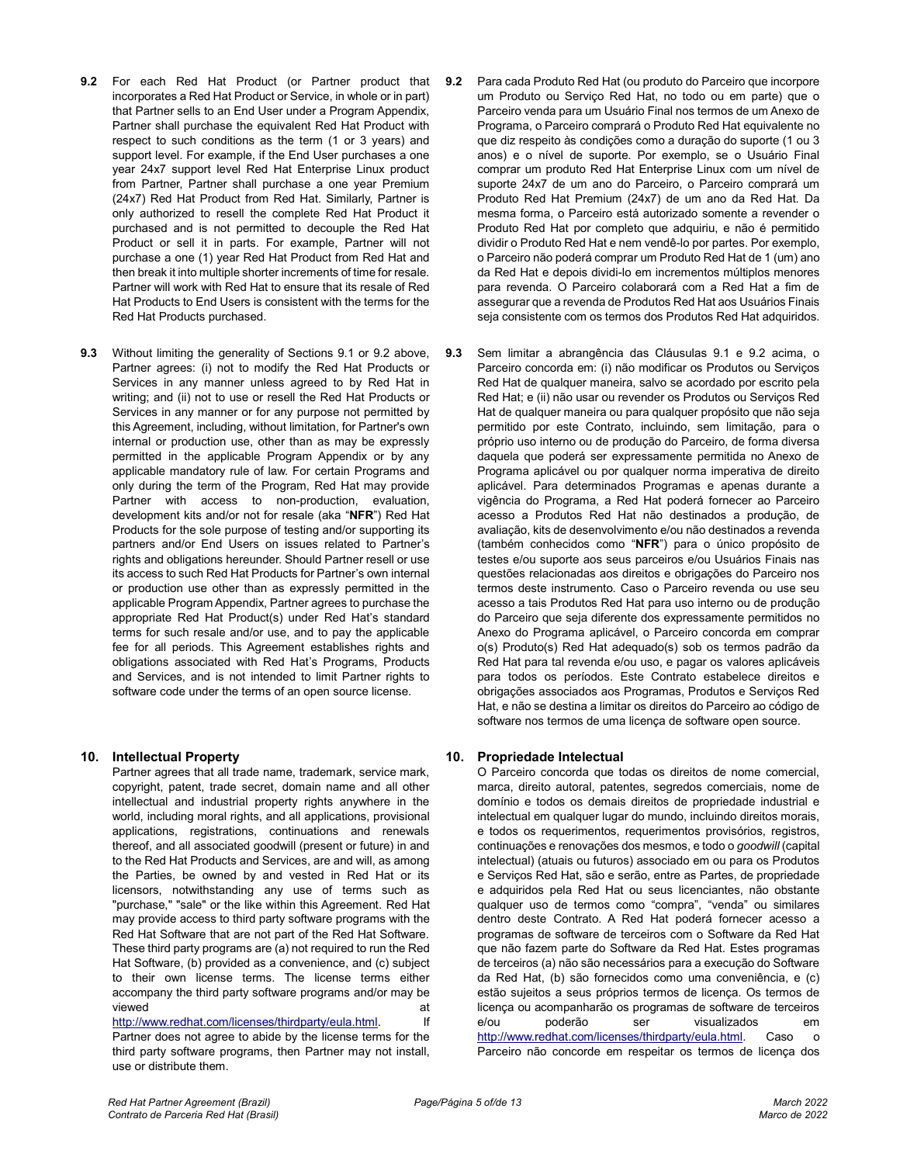- **9.2** For each Red Hat Product (or Partner product that incorporates a Red Hat Product or Service, in whole or in part) that Partner sells to an End User under a Program Appendix, Partner shall purchase the equivalent Red Hat Product with respect to such conditions as the term (1 or 3 years) and support level. For example, if the End User purchases a one year 24x7 support level Red Hat Enterprise Linux product from Partner, Partner shall purchase a one year Premium (24x7) Red Hat Product from Red Hat. Similarly, Partner is only authorized to resell the complete Red Hat Product it purchased and is not permitted to decouple the Red Hat Product or sell it in parts. For example, Partner will not purchase a one (1) year Red Hat Product from Red Hat and then break it into multiple shorter increments of time for resale. Partner will work with Red Hat to ensure that its resale of Red Hat Products to End Users is consistent with the terms for the Red Hat Products purchased.
- **9.3** Without limiting the generality of Sections 9.1 or 9.2 above, Partner agrees: (i) not to modify the Red Hat Products or Services in any manner unless agreed to by Red Hat in writing; and (ii) not to use or resell the Red Hat Products or Services in any manner or for any purpose not permitted by this Agreement, including, without limitation, for Partner's own internal or production use, other than as may be expressly permitted in the applicable Program Appendix or by any applicable mandatory rule of law. For certain Programs and only during the term of the Program, Red Hat may provide Partner with access to non-production, evaluation, development kits and/or not for resale (aka "**NFR**") Red Hat Products for the sole purpose of testing and/or supporting its partners and/or End Users on issues related to Partner's rights and obligations hereunder. Should Partner resell or use its access to such Red Hat Products for Partner's own internal or production use other than as expressly permitted in the applicable Program Appendix, Partner agrees to purchase the appropriate Red Hat Product(s) under Red Hat's standard terms for such resale and/or use, and to pay the applicable fee for all periods. This Agreement establishes rights and obligations associated with Red Hat's Programs, Products and Services, and is not intended to limit Partner rights to software code under the terms of an open source license.

# **10. Intellectual Property**

Partner agrees that all trade name, trademark, service mark, copyright, patent, trade secret, domain name and all other intellectual and industrial property rights anywhere in the world, including moral rights, and all applications, provisional applications, registrations, continuations and renewals thereof, and all associated goodwill (present or future) in and to the Red Hat Products and Services, are and will, as among the Parties, be owned by and vested in Red Hat or its licensors, notwithstanding any use of terms such as "purchase," "sale" or the like within this Agreement. Red Hat may provide access to third party software programs with the Red Hat Software that are not part of the Red Hat Software. These third party programs are (a) not required to run the Red Hat Software, (b) provided as a convenience, and (c) subject to their own license terms. The license terms either accompany the third party software programs and/or may be viewed at a state of the state of the state of the state  $\alpha$ 

[http://www.redhat.com/licenses/thirdparty/eula.html.](http://www.redhat.com/licenses/thirdparty/eula.html) If

Partner does not agree to abide by the license terms for the third party software programs, then Partner may not install, use or distribute them.

- **9.2** Para cada Produto Red Hat (ou produto do Parceiro que incorpore um Produto ou Serviço Red Hat, no todo ou em parte) que o Parceiro venda para um Usuário Final nos termos de um Anexo de Programa, o Parceiro comprará o Produto Red Hat equivalente no que diz respeito às condições como a duração do suporte (1 ou 3 anos) e o nível de suporte. Por exemplo, se o Usuário Final comprar um produto Red Hat Enterprise Linux com um nível de suporte 24x7 de um ano do Parceiro, o Parceiro comprará um Produto Red Hat Premium (24x7) de um ano da Red Hat. Da mesma forma, o Parceiro está autorizado somente a revender o Produto Red Hat por completo que adquiriu, e não é permitido dividir o Produto Red Hat e nem vendê-lo por partes. Por exemplo, o Parceiro não poderá comprar um Produto Red Hat de 1 (um) ano da Red Hat e depois dividi-lo em incrementos múltiplos menores para revenda. O Parceiro colaborará com a Red Hat a fim de assegurar que a revenda de Produtos Red Hat aos Usuários Finais seja consistente com os termos dos Produtos Red Hat adquiridos.
- **9.3** Sem limitar a abrangência das Cláusulas 9.1 e 9.2 acima, o Parceiro concorda em: (i) não modificar os Produtos ou Serviços Red Hat de qualquer maneira, salvo se acordado por escrito pela Red Hat; e (ii) não usar ou revender os Produtos ou Serviços Red Hat de qualquer maneira ou para qualquer propósito que não seja permitido por este Contrato, incluindo, sem limitação, para o próprio uso interno ou de produção do Parceiro, de forma diversa daquela que poderá ser expressamente permitida no Anexo de Programa aplicável ou por qualquer norma imperativa de direito aplicável. Para determinados Programas e apenas durante a vigência do Programa, a Red Hat poderá fornecer ao Parceiro acesso a Produtos Red Hat não destinados a produção, de avaliação, kits de desenvolvimento e/ou não destinados a revenda (também conhecidos como "**NFR**") para o único propósito de testes e/ou suporte aos seus parceiros e/ou Usuários Finais nas questões relacionadas aos direitos e obrigações do Parceiro nos termos deste instrumento. Caso o Parceiro revenda ou use seu acesso a tais Produtos Red Hat para uso interno ou de produção do Parceiro que seja diferente dos expressamente permitidos no Anexo do Programa aplicável, o Parceiro concorda em comprar o(s) Produto(s) Red Hat adequado(s) sob os termos padrão da Red Hat para tal revenda e/ou uso, e pagar os valores aplicáveis para todos os períodos. Este Contrato estabelece direitos e obrigações associados aos Programas, Produtos e Serviços Red Hat, e não se destina a limitar os direitos do Parceiro ao código de software nos termos de uma licença de software open source.

# **10. Propriedade Intelectual**

O Parceiro concorda que todas os direitos de nome comercial, marca, direito autoral, patentes, segredos comerciais, nome de domínio e todos os demais direitos de propriedade industrial e intelectual em qualquer lugar do mundo, incluindo direitos morais, e todos os requerimentos, requerimentos provisórios, registros, continuações e renovações dos mesmos, e todo o *goodwill* (capital intelectual) (atuais ou futuros) associado em ou para os Produtos e Serviços Red Hat, são e serão, entre as Partes, de propriedade e adquiridos pela Red Hat ou seus licenciantes, não obstante qualquer uso de termos como "compra", "venda" ou similares dentro deste Contrato. A Red Hat poderá fornecer acesso a programas de software de terceiros com o Software da Red Hat que não fazem parte do Software da Red Hat. Estes programas de terceiros (a) não são necessários para a execução do Software da Red Hat, (b) são fornecidos como uma conveniência, e (c) estão sujeitos a seus próprios termos de licença. Os termos de licença ou acompanharão os programas de software de terceiros e/ou poderão ser visualizados em [http://www.redhat.com/licenses/thirdparty/eula.html.](http://www.redhat.com/licenses/thirdparty/eula.html) Caso o Parceiro não concorde em respeitar os termos de licença dos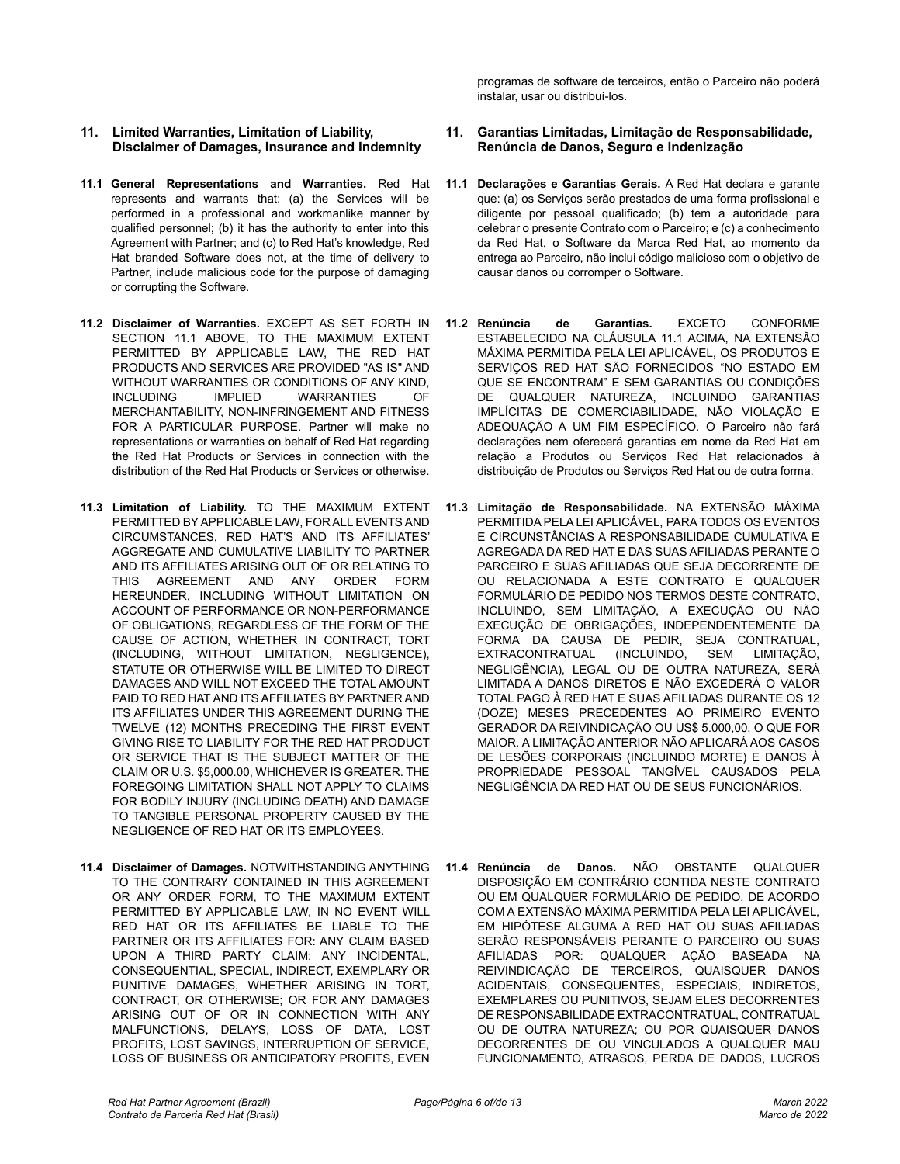- **11. Limited Warranties, Limitation of Liability, Disclaimer of Damages, Insurance and Indemnity**
- **11.1 General Representations and Warranties.** Red Hat represents and warrants that: (a) the Services will be performed in a professional and workmanlike manner by qualified personnel; (b) it has the authority to enter into this Agreement with Partner; and (c) to Red Hat's knowledge, Red Hat branded Software does not, at the time of delivery to Partner, include malicious code for the purpose of damaging or corrupting the Software.
- **11.2 Disclaimer of Warranties.** EXCEPT AS SET FORTH IN SECTION 11.1 ABOVE, TO THE MAXIMUM EXTENT PERMITTED BY APPLICABLE LAW, THE RED HAT PRODUCTS AND SERVICES ARE PROVIDED "AS IS" AND WITHOUT WARRANTIES OR CONDITIONS OF ANY KIND,<br>INCLUDING TIMPLIED WARRANTIES OF **WARRANTIES** MERCHANTABILITY, NON-INFRINGEMENT AND FITNESS FOR A PARTICULAR PURPOSE. Partner will make no representations or warranties on behalf of Red Hat regarding the Red Hat Products or Services in connection with the distribution of the Red Hat Products or Services or otherwise.
- **11.3 Limitation of Liability.** TO THE MAXIMUM EXTENT PERMITTED BY APPLICABLE LAW, FOR ALL EVENTS AND CIRCUMSTANCES, RED HAT'S AND ITS AFFILIATES' AGGREGATE AND CUMULATIVE LIABILITY TO PARTNER AND ITS AFFILIATES ARISING OUT OF OR RELATING TO THIS AGREEMENT AND ANY ORDER FORM HEREUNDER, INCLUDING WITHOUT LIMITATION ON ACCOUNT OF PERFORMANCE OR NON-PERFORMANCE OF OBLIGATIONS, REGARDLESS OF THE FORM OF THE CAUSE OF ACTION, WHETHER IN CONTRACT, TORT (INCLUDING, WITHOUT LIMITATION, NEGLIGENCE), STATUTE OR OTHERWISE WILL BE LIMITED TO DIRECT DAMAGES AND WILL NOT EXCEED THE TOTAL AMOUNT PAID TO RED HAT AND ITS AFFILIATES BY PARTNER AND ITS AFFILIATES UNDER THIS AGREEMENT DURING THE TWELVE (12) MONTHS PRECEDING THE FIRST EVENT GIVING RISE TO LIABILITY FOR THE RED HAT PRODUCT OR SERVICE THAT IS THE SUBJECT MATTER OF THE CLAIM OR U.S. \$5,000.00, WHICHEVER IS GREATER. THE FOREGOING LIMITATION SHALL NOT APPLY TO CLAIMS FOR BODILY INJURY (INCLUDING DEATH) AND DAMAGE TO TANGIBLE PERSONAL PROPERTY CAUSED BY THE NEGLIGENCE OF RED HAT OR ITS EMPLOYEES.
- **11.4 Disclaimer of Damages.** NOTWITHSTANDING ANYTHING TO THE CONTRARY CONTAINED IN THIS AGREEMENT OR ANY ORDER FORM, TO THE MAXIMUM EXTENT PERMITTED BY APPLICABLE LAW, IN NO EVENT WILL RED HAT OR ITS AFFILIATES BE LIABLE TO THE PARTNER OR ITS AFFILIATES FOR: ANY CLAIM BASED UPON A THIRD PARTY CLAIM; ANY INCIDENTAL, CONSEQUENTIAL, SPECIAL, INDIRECT, EXEMPLARY OR PUNITIVE DAMAGES, WHETHER ARISING IN TORT, CONTRACT, OR OTHERWISE; OR FOR ANY DAMAGES ARISING OUT OF OR IN CONNECTION WITH ANY MALFUNCTIONS, DELAYS, LOSS OF DATA, LOST PROFITS, LOST SAVINGS, INTERRUPTION OF SERVICE, LOSS OF BUSINESS OR ANTICIPATORY PROFITS, EVEN

programas de software de terceiros, então o Parceiro não poderá instalar, usar ou distribuí-los.

#### **11. Garantias Limitadas, Limitação de Responsabilidade, Renúncia de Danos, Seguro e Indenização**

- **11.1 Declarações e Garantias Gerais.** A Red Hat declara e garante que: (a) os Serviços serão prestados de uma forma profissional e diligente por pessoal qualificado; (b) tem a autoridade para celebrar o presente Contrato com o Parceiro; e (c) a conhecimento da Red Hat, o Software da Marca Red Hat, ao momento da entrega ao Parceiro, não inclui código malicioso com o objetivo de causar danos ou corromper o Software.
- **11.2 Renúncia de Garantias.** EXCETO CONFORME ESTABELECIDO NA CLÁUSULA 11.1 ACIMA, NA EXTENSÃO MÁXIMA PERMITIDA PELA LEI APLICÁVEL, OS PRODUTOS E SERVIÇOS RED HAT SÃO FORNECIDOS "NO ESTADO EM QUE SE ENCONTRAM" E SEM GARANTIAS OU CONDIÇÕES DE QUALQUER NATUREZA, INCLUINDO GARANTIAS IMPLÍCITAS DE COMERCIABILIDADE, NÃO VIOLAÇÃO E ADEQUAÇÃO A UM FIM ESPECÍFICO. O Parceiro não fará declarações nem oferecerá garantias em nome da Red Hat em relação a Produtos ou Serviços Red Hat relacionados à distribuição de Produtos ou Serviços Red Hat ou de outra forma.
- **11.3 Limitação de Responsabilidade.** NA EXTENSÃO MÁXIMA PERMITIDA PELA LEI APLICÁVEL, PARA TODOS OS EVENTOS E CIRCUNSTÂNCIAS A RESPONSABILIDADE CUMULATIVA E AGREGADA DA RED HAT E DAS SUAS AFILIADAS PERANTE O PARCEIRO E SUAS AFILIADAS QUE SEJA DECORRENTE DE OU RELACIONADA A ESTE CONTRATO E QUALQUER FORMULÁRIO DE PEDIDO NOS TERMOS DESTE CONTRATO, INCLUINDO, SEM LIMITAÇÃO, A EXECUÇÃO OU NÃO EXECUÇÃO DE OBRIGAÇÕES, INDEPENDENTEMENTE DA FORMA DA CAUSA DE PEDIR, SEJA CONTRATUAL, EXTRACONTRATUAL (INCLUINDO, SEM LIMITAÇÃO, NEGLIGÊNCIA), LEGAL OU DE OUTRA NATUREZA, SERÁ LIMITADA A DANOS DIRETOS E NÃO EXCEDERÁ O VALOR TOTAL PAGO À RED HAT E SUAS AFILIADAS DURANTE OS 12 (DOZE) MESES PRECEDENTES AO PRIMEIRO EVENTO GERADOR DA REIVINDICAÇÃO OU US\$ 5.000,00, O QUE FOR MAIOR. A LIMITAÇÃO ANTERIOR NÃO APLICARÁ AOS CASOS DE LESÕES CORPORAIS (INCLUINDO MORTE) E DANOS À PROPRIEDADE PESSOAL TANGÍVEL CAUSADOS PELA NEGLIGÊNCIA DA RED HAT OU DE SEUS FUNCIONÁRIOS.
- **11.4 Renúncia de Danos.** NÃO OBSTANTE QUALQUER DISPOSIÇÃO EM CONTRÁRIO CONTIDA NESTE CONTRATO OU EM QUALQUER FORMULÁRIO DE PEDIDO, DE ACORDO COM A EXTENSÃO MÁXIMA PERMITIDA PELA LEI APLICÁVEL, EM HIPÓTESE ALGUMA A RED HAT OU SUAS AFILIADAS SERÃO RESPONSÁVEIS PERANTE O PARCEIRO OU SUAS AFILIADAS POR: QUALQUER AÇÃO BASEADA NA REIVINDICAÇÃO DE TERCEIROS, QUAISQUER DANOS ACIDENTAIS, CONSEQUENTES, ESPECIAIS, INDIRETOS, EXEMPLARES OU PUNITIVOS, SEJAM ELES DECORRENTES DE RESPONSABILIDADE EXTRACONTRATUAL, CONTRATUAL OU DE OUTRA NATUREZA; OU POR QUAISQUER DANOS DECORRENTES DE OU VINCULADOS A QUALQUER MAU FUNCIONAMENTO, ATRASOS, PERDA DE DADOS, LUCROS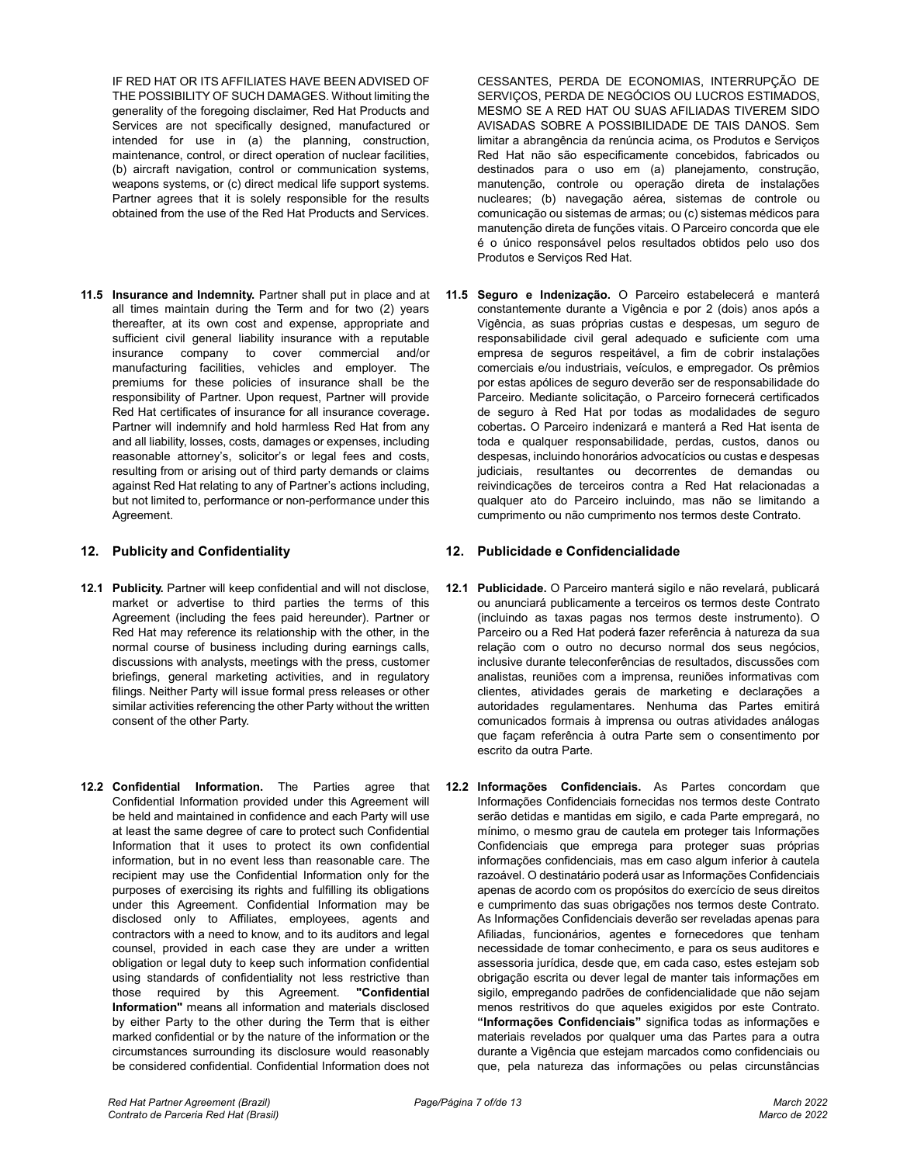IF RED HAT OR ITS AFFILIATES HAVE BEEN ADVISED OF THE POSSIBILITY OF SUCH DAMAGES. Without limiting the generality of the foregoing disclaimer, Red Hat Products and Services are not specifically designed, manufactured or intended for use in (a) the planning, construction, maintenance, control, or direct operation of nuclear facilities, (b) aircraft navigation, control or communication systems, weapons systems, or (c) direct medical life support systems. Partner agrees that it is solely responsible for the results obtained from the use of the Red Hat Products and Services.

**11.5 Insurance and Indemnity.** Partner shall put in place and at all times maintain during the Term and for two (2) years thereafter, at its own cost and expense, appropriate and sufficient civil general liability insurance with a reputable insurance company to cover commercial and/or manufacturing facilities, vehicles and employer. The premiums for these policies of insurance shall be the responsibility of Partner. Upon request, Partner will provide Red Hat certificates of insurance for all insurance coverage**.**  Partner will indemnify and hold harmless Red Hat from any and all liability, losses, costs, damages or expenses, including reasonable attorney's, solicitor's or legal fees and costs, resulting from or arising out of third party demands or claims against Red Hat relating to any of Partner's actions including, but not limited to, performance or non-performance under this Agreement.

- **12.1 Publicity.** Partner will keep confidential and will not disclose, market or advertise to third parties the terms of this Agreement (including the fees paid hereunder). Partner or Red Hat may reference its relationship with the other, in the normal course of business including during earnings calls, discussions with analysts, meetings with the press, customer briefings, general marketing activities, and in regulatory filings. Neither Party will issue formal press releases or other similar activities referencing the other Party without the written consent of the other Party.
- **12.2 Confidential Information.** The Parties agree that Confidential Information provided under this Agreement will be held and maintained in confidence and each Party will use at least the same degree of care to protect such Confidential Information that it uses to protect its own confidential information, but in no event less than reasonable care. The recipient may use the Confidential Information only for the purposes of exercising its rights and fulfilling its obligations under this Agreement. Confidential Information may be disclosed only to Affiliates, employees, agents and contractors with a need to know, and to its auditors and legal counsel, provided in each case they are under a written obligation or legal duty to keep such information confidential using standards of confidentiality not less restrictive than those required by this Agreement. **"Confidential Information"** means all information and materials disclosed by either Party to the other during the Term that is either marked confidential or by the nature of the information or the circumstances surrounding its disclosure would reasonably be considered confidential. Confidential Information does not

CESSANTES, PERDA DE ECONOMIAS, INTERRUPÇÃO DE SERVIÇOS, PERDA DE NEGÓCIOS OU LUCROS ESTIMADOS, MESMO SE A RED HAT OU SUAS AFILIADAS TIVEREM SIDO AVISADAS SOBRE A POSSIBILIDADE DE TAIS DANOS. Sem limitar a abrangência da renúncia acima, os Produtos e Serviços Red Hat não são especificamente concebidos, fabricados ou destinados para o uso em (a) planejamento, construção, manutenção, controle ou operação direta de instalações nucleares; (b) navegação aérea, sistemas de controle ou comunicação ou sistemas de armas; ou (c) sistemas médicos para manutenção direta de funções vitais. O Parceiro concorda que ele é o único responsável pelos resultados obtidos pelo uso dos Produtos e Serviços Red Hat.

**11.5 Seguro e Indenização.** O Parceiro estabelecerá e manterá constantemente durante a Vigência e por 2 (dois) anos após a Vigência, as suas próprias custas e despesas, um seguro de responsabilidade civil geral adequado e suficiente com uma empresa de seguros respeitável, a fim de cobrir instalações comerciais e/ou industriais, veículos, e empregador. Os prêmios por estas apólices de seguro deverão ser de responsabilidade do Parceiro. Mediante solicitação, o Parceiro fornecerá certificados de seguro à Red Hat por todas as modalidades de seguro cobertas**.** O Parceiro indenizará e manterá a Red Hat isenta de toda e qualquer responsabilidade, perdas, custos, danos ou despesas, incluindo honorários advocatícios ou custas e despesas judiciais, resultantes ou decorrentes de demandas ou reivindicações de terceiros contra a Red Hat relacionadas a qualquer ato do Parceiro incluindo, mas não se limitando a cumprimento ou não cumprimento nos termos deste Contrato.

# **12. Publicity and Confidentiality 12. Publicidade e Confidencialidade**

- **12.1 Publicidade.** O Parceiro manterá sigilo e não revelará, publicará ou anunciará publicamente a terceiros os termos deste Contrato (incluindo as taxas pagas nos termos deste instrumento). O Parceiro ou a Red Hat poderá fazer referência à natureza da sua relação com o outro no decurso normal dos seus negócios, inclusive durante teleconferências de resultados, discussões com analistas, reuniões com a imprensa, reuniões informativas com clientes, atividades gerais de marketing e declarações a autoridades regulamentares. Nenhuma das Partes emitirá comunicados formais à imprensa ou outras atividades análogas que façam referência à outra Parte sem o consentimento por escrito da outra Parte.
- **12.2 Informações Confidenciais.** As Partes concordam que Informações Confidenciais fornecidas nos termos deste Contrato serão detidas e mantidas em sigilo, e cada Parte empregará, no mínimo, o mesmo grau de cautela em proteger tais Informações Confidenciais que emprega para proteger suas próprias informações confidenciais, mas em caso algum inferior à cautela razoável. O destinatário poderá usar as Informações Confidenciais apenas de acordo com os propósitos do exercício de seus direitos e cumprimento das suas obrigações nos termos deste Contrato. As Informações Confidenciais deverão ser reveladas apenas para Afiliadas, funcionários, agentes e fornecedores que tenham necessidade de tomar conhecimento, e para os seus auditores e assessoria jurídica, desde que, em cada caso, estes estejam sob obrigação escrita ou dever legal de manter tais informações em sigilo, empregando padrões de confidencialidade que não sejam menos restritivos do que aqueles exigidos por este Contrato. **"Informações Confidenciais"** significa todas as informações e materiais revelados por qualquer uma das Partes para a outra durante a Vigência que estejam marcados como confidenciais ou que, pela natureza das informações ou pelas circunstâncias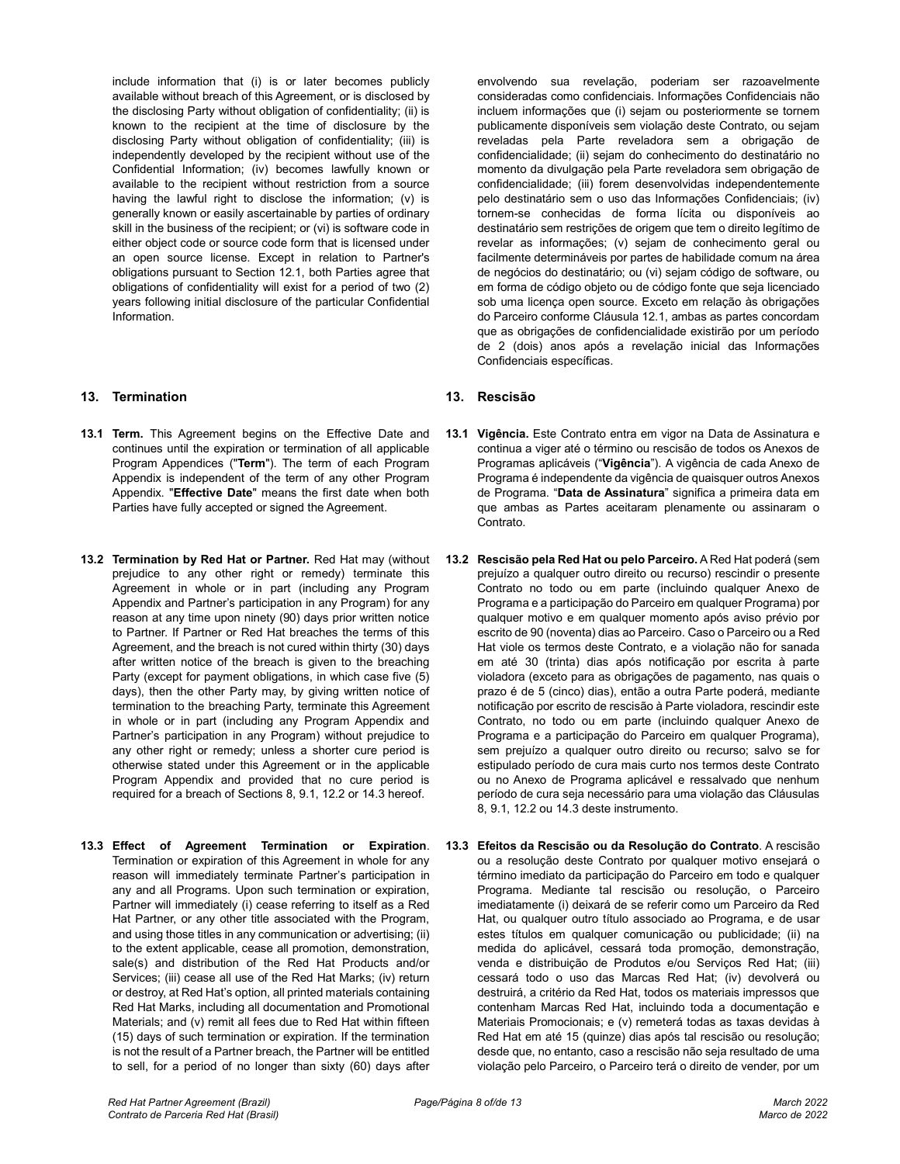include information that (i) is or later becomes publicly available without breach of this Agreement, or is disclosed by the disclosing Party without obligation of confidentiality; (ii) is known to the recipient at the time of disclosure by the disclosing Party without obligation of confidentiality; (iii) is independently developed by the recipient without use of the Confidential Information; (iv) becomes lawfully known or available to the recipient without restriction from a source having the lawful right to disclose the information; (v) is generally known or easily ascertainable by parties of ordinary skill in the business of the recipient; or (vi) is software code in either object code or source code form that is licensed under an open source license. Except in relation to Partner's obligations pursuant to Section 12.1, both Parties agree that obligations of confidentiality will exist for a period of two (2) years following initial disclosure of the particular Confidential Information.

# **13. Termination 13. Rescisão**

- **13.1 Term.** This Agreement begins on the Effective Date and continues until the expiration or termination of all applicable Program Appendices ("**Term**"). The term of each Program Appendix is independent of the term of any other Program Appendix. "**Effective Date**" means the first date when both Parties have fully accepted or signed the Agreement.
- **13.2 Termination by Red Hat or Partner.** Red Hat may (without prejudice to any other right or remedy) terminate this Agreement in whole or in part (including any Program Appendix and Partner's participation in any Program) for any reason at any time upon ninety (90) days prior written notice to Partner. If Partner or Red Hat breaches the terms of this Agreement, and the breach is not cured within thirty (30) days after written notice of the breach is given to the breaching Party (except for payment obligations, in which case five (5) days), then the other Party may, by giving written notice of termination to the breaching Party, terminate this Agreement in whole or in part (including any Program Appendix and Partner's participation in any Program) without prejudice to any other right or remedy; unless a shorter cure period is otherwise stated under this Agreement or in the applicable Program Appendix and provided that no cure period is required for a breach of Sections 8, 9.1, 12.2 or 14.3 hereof.
- **13.3 Effect of Agreement Termination or Expiration**. Termination or expiration of this Agreement in whole for any reason will immediately terminate Partner's participation in any and all Programs. Upon such termination or expiration, Partner will immediately (i) cease referring to itself as a Red Hat Partner, or any other title associated with the Program, and using those titles in any communication or advertising; (ii) to the extent applicable, cease all promotion, demonstration, sale(s) and distribution of the Red Hat Products and/or Services; (iii) cease all use of the Red Hat Marks; (iv) return or destroy, at Red Hat's option, all printed materials containing Red Hat Marks, including all documentation and Promotional Materials; and (v) remit all fees due to Red Hat within fifteen (15) days of such termination or expiration. If the termination is not the result of a Partner breach, the Partner will be entitled to sell, for a period of no longer than sixty (60) days after

envolvendo sua revelação, poderiam ser razoavelmente consideradas como confidenciais. Informações Confidenciais não incluem informações que (i) sejam ou posteriormente se tornem publicamente disponíveis sem violação deste Contrato, ou sejam reveladas pela Parte reveladora sem a obrigação de confidencialidade; (ii) sejam do conhecimento do destinatário no momento da divulgação pela Parte reveladora sem obrigação de confidencialidade; (iii) forem desenvolvidas independentemente pelo destinatário sem o uso das Informações Confidenciais; (iv) tornem-se conhecidas de forma lícita ou disponíveis ao destinatário sem restrições de origem que tem o direito legítimo de revelar as informações; (v) sejam de conhecimento geral ou facilmente determináveis por partes de habilidade comum na área de negócios do destinatário; ou (vi) sejam código de software, ou em forma de código objeto ou de código fonte que seja licenciado sob uma licença open source. Exceto em relação às obrigações do Parceiro conforme Cláusula 12.1, ambas as partes concordam que as obrigações de confidencialidade existirão por um período de 2 (dois) anos após a revelação inicial das Informações Confidenciais específicas.

- **13.1 Vigência.** Este Contrato entra em vigor na Data de Assinatura e continua a viger até o término ou rescisão de todos os Anexos de Programas aplicáveis ("**Vigência**"). A vigência de cada Anexo de Programa é independente da vigência de quaisquer outros Anexos de Programa. "**Data de Assinatura**" significa a primeira data em que ambas as Partes aceitaram plenamente ou assinaram o Contrato.
- **13.2 Rescisão pela Red Hat ou pelo Parceiro.** A Red Hat poderá (sem prejuízo a qualquer outro direito ou recurso) rescindir o presente Contrato no todo ou em parte (incluindo qualquer Anexo de Programa e a participação do Parceiro em qualquer Programa) por qualquer motivo e em qualquer momento após aviso prévio por escrito de 90 (noventa) dias ao Parceiro. Caso o Parceiro ou a Red Hat viole os termos deste Contrato, e a violação não for sanada em até 30 (trinta) dias após notificação por escrita à parte violadora (exceto para as obrigações de pagamento, nas quais o prazo é de 5 (cinco) dias), então a outra Parte poderá, mediante notificação por escrito de rescisão à Parte violadora, rescindir este Contrato, no todo ou em parte (incluindo qualquer Anexo de Programa e a participação do Parceiro em qualquer Programa), sem prejuízo a qualquer outro direito ou recurso; salvo se for estipulado período de cura mais curto nos termos deste Contrato ou no Anexo de Programa aplicável e ressalvado que nenhum período de cura seja necessário para uma violação das Cláusulas 8, 9.1, 12.2 ou 14.3 deste instrumento.
- **13.3 Efeitos da Rescisão ou da Resolução do Contrato**. A rescisão ou a resolução deste Contrato por qualquer motivo ensejará o término imediato da participação do Parceiro em todo e qualquer Programa. Mediante tal rescisão ou resolução, o Parceiro imediatamente (i) deixará de se referir como um Parceiro da Red Hat, ou qualquer outro título associado ao Programa, e de usar estes títulos em qualquer comunicação ou publicidade; (ii) na medida do aplicável, cessará toda promoção, demonstração, venda e distribuição de Produtos e/ou Serviços Red Hat; (iii) cessará todo o uso das Marcas Red Hat; (iv) devolverá ou destruirá, a critério da Red Hat, todos os materiais impressos que contenham Marcas Red Hat, incluindo toda a documentação e Materiais Promocionais; e (v) remeterá todas as taxas devidas à Red Hat em até 15 (quinze) dias após tal rescisão ou resolução; desde que, no entanto, caso a rescisão não seja resultado de uma violação pelo Parceiro, o Parceiro terá o direito de vender, por um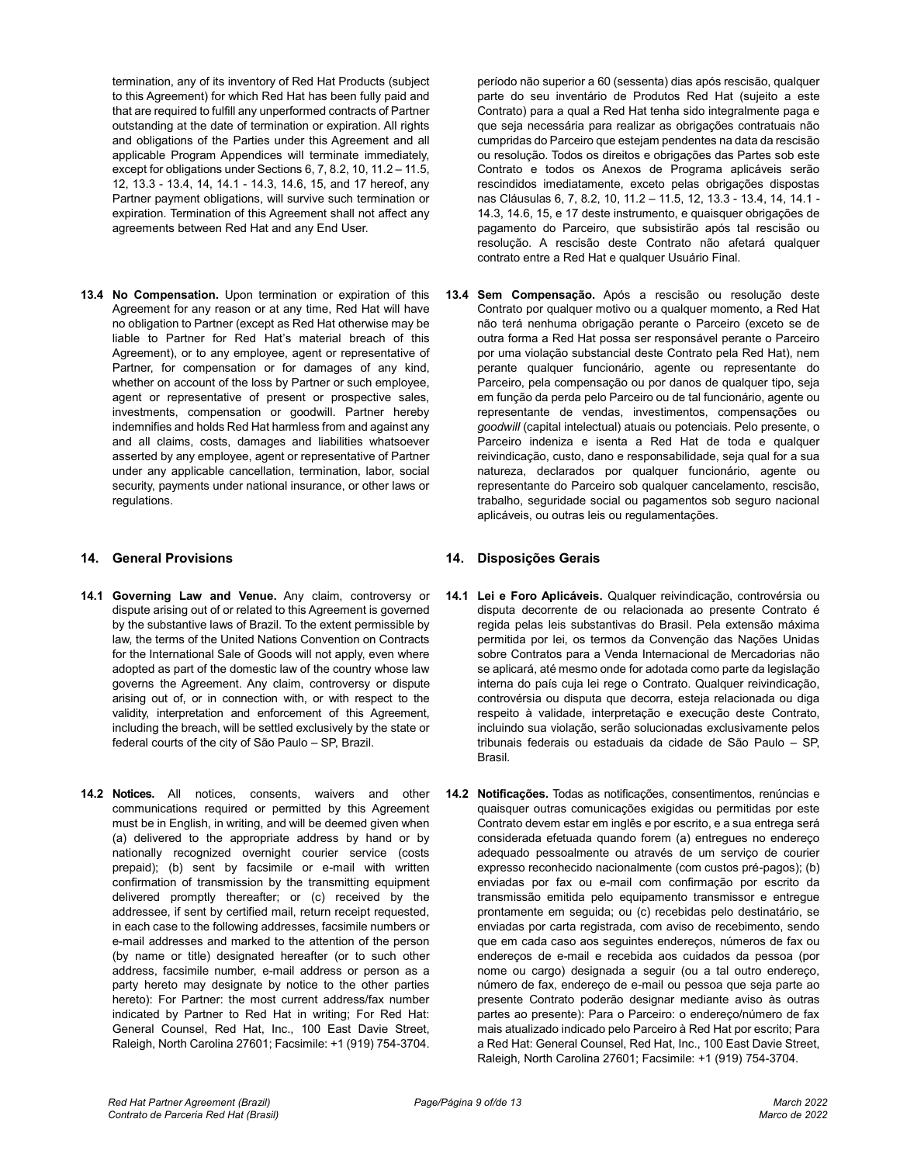termination, any of its inventory of Red Hat Products (subject to this Agreement) for which Red Hat has been fully paid and that are required to fulfill any unperformed contracts of Partner outstanding at the date of termination or expiration. All rights and obligations of the Parties under this Agreement and all applicable Program Appendices will terminate immediately, except for obligations under Sections 6, 7, 8.2, 10, 11.2 – 11.5, 12, 13.3 - 13.4, 14, 14.1 - 14.3, 14.6, 15, and 17 hereof, any Partner payment obligations, will survive such termination or expiration. Termination of this Agreement shall not affect any agreements between Red Hat and any End User.

**13.4 No Compensation.** Upon termination or expiration of this Agreement for any reason or at any time, Red Hat will have no obligation to Partner (except as Red Hat otherwise may be liable to Partner for Red Hat's material breach of this Agreement), or to any employee, agent or representative of Partner, for compensation or for damages of any kind, whether on account of the loss by Partner or such employee, agent or representative of present or prospective sales, investments, compensation or goodwill. Partner hereby indemnifies and holds Red Hat harmless from and against any and all claims, costs, damages and liabilities whatsoever asserted by any employee, agent or representative of Partner under any applicable cancellation, termination, labor, social security, payments under national insurance, or other laws or regulations.

# **14. General Provisions 14. Disposições Gerais**

- **14.1 Governing Law and Venue.** Any claim, controversy or dispute arising out of or related to this Agreement is governed by the substantive laws of Brazil. To the extent permissible by law, the terms of the United Nations Convention on Contracts for the International Sale of Goods will not apply, even where adopted as part of the domestic law of the country whose law governs the Agreement. Any claim, controversy or dispute arising out of, or in connection with, or with respect to the validity, interpretation and enforcement of this Agreement, including the breach, will be settled exclusively by the state or federal courts of the city of São Paulo – SP, Brazil.
- **14.2 Notices.** All notices, consents, waivers and other communications required or permitted by this Agreement must be in English, in writing, and will be deemed given when (a) delivered to the appropriate address by hand or by nationally recognized overnight courier service (costs prepaid); (b) sent by facsimile or e-mail with written confirmation of transmission by the transmitting equipment delivered promptly thereafter; or (c) received by the addressee, if sent by certified mail, return receipt requested, in each case to the following addresses, facsimile numbers or e-mail addresses and marked to the attention of the person (by name or title) designated hereafter (or to such other address, facsimile number, e-mail address or person as a party hereto may designate by notice to the other parties hereto): For Partner: the most current address/fax number indicated by Partner to Red Hat in writing; For Red Hat: General Counsel, Red Hat, Inc., 100 East Davie Street, Raleigh, North Carolina 27601; Facsimile: +1 (919) 754-3704.

período não superior a 60 (sessenta) dias após rescisão, qualquer parte do seu inventário de Produtos Red Hat (sujeito a este Contrato) para a qual a Red Hat tenha sido integralmente paga e que seja necessária para realizar as obrigações contratuais não cumpridas do Parceiro que estejam pendentes na data da rescisão ou resolução. Todos os direitos e obrigações das Partes sob este Contrato e todos os Anexos de Programa aplicáveis serão rescindidos imediatamente, exceto pelas obrigações dispostas nas Cláusulas 6, 7, 8.2, 10, 11.2 – 11.5, 12, 13.3 - 13.4, 14, 14.1 - 14.3, 14.6, 15, e 17 deste instrumento, e quaisquer obrigações de pagamento do Parceiro, que subsistirão após tal rescisão ou resolução. A rescisão deste Contrato não afetará qualquer contrato entre a Red Hat e qualquer Usuário Final.

**13.4 Sem Compensação.** Após a rescisão ou resolução deste Contrato por qualquer motivo ou a qualquer momento, a Red Hat não terá nenhuma obrigação perante o Parceiro (exceto se de outra forma a Red Hat possa ser responsável perante o Parceiro por uma violação substancial deste Contrato pela Red Hat), nem perante qualquer funcionário, agente ou representante do Parceiro, pela compensação ou por danos de qualquer tipo, seja em função da perda pelo Parceiro ou de tal funcionário, agente ou representante de vendas, investimentos, compensações ou *goodwill* (capital intelectual) atuais ou potenciais. Pelo presente, o Parceiro indeniza e isenta a Red Hat de toda e qualquer reivindicação, custo, dano e responsabilidade, seja qual for a sua natureza, declarados por qualquer funcionário, agente ou representante do Parceiro sob qualquer cancelamento, rescisão, trabalho, seguridade social ou pagamentos sob seguro nacional aplicáveis, ou outras leis ou regulamentações.

- **14.1 Lei e Foro Aplicáveis.** Qualquer reivindicação, controvérsia ou disputa decorrente de ou relacionada ao presente Contrato é regida pelas leis substantivas do Brasil. Pela extensão máxima permitida por lei, os termos da Convenção das Nações Unidas sobre Contratos para a Venda Internacional de Mercadorias não se aplicará, até mesmo onde for adotada como parte da legislação interna do país cuja lei rege o Contrato. Qualquer reivindicação, controvérsia ou disputa que decorra, esteja relacionada ou diga respeito à validade, interpretação e execução deste Contrato, incluindo sua violação, serão solucionadas exclusivamente pelos tribunais federais ou estaduais da cidade de São Paulo – SP, Brasil.
- **14.2 Notificações.** Todas as notificações, consentimentos, renúncias e quaisquer outras comunicações exigidas ou permitidas por este Contrato devem estar em inglês e por escrito, e a sua entrega será considerada efetuada quando forem (a) entregues no endereço adequado pessoalmente ou através de um serviço de courier expresso reconhecido nacionalmente (com custos pré-pagos); (b) enviadas por fax ou e-mail com confirmação por escrito da transmissão emitida pelo equipamento transmissor e entregue prontamente em seguida; ou (c) recebidas pelo destinatário, se enviadas por carta registrada, com aviso de recebimento, sendo que em cada caso aos seguintes endereços, números de fax ou endereços de e-mail e recebida aos cuidados da pessoa (por nome ou cargo) designada a seguir (ou a tal outro endereço, número de fax, endereço de e-mail ou pessoa que seja parte ao presente Contrato poderão designar mediante aviso às outras partes ao presente): Para o Parceiro: o endereço/número de fax mais atualizado indicado pelo Parceiro à Red Hat por escrito; Para a Red Hat: General Counsel, Red Hat, Inc., 100 East Davie Street, Raleigh, North Carolina 27601; Facsimile: +1 (919) 754-3704.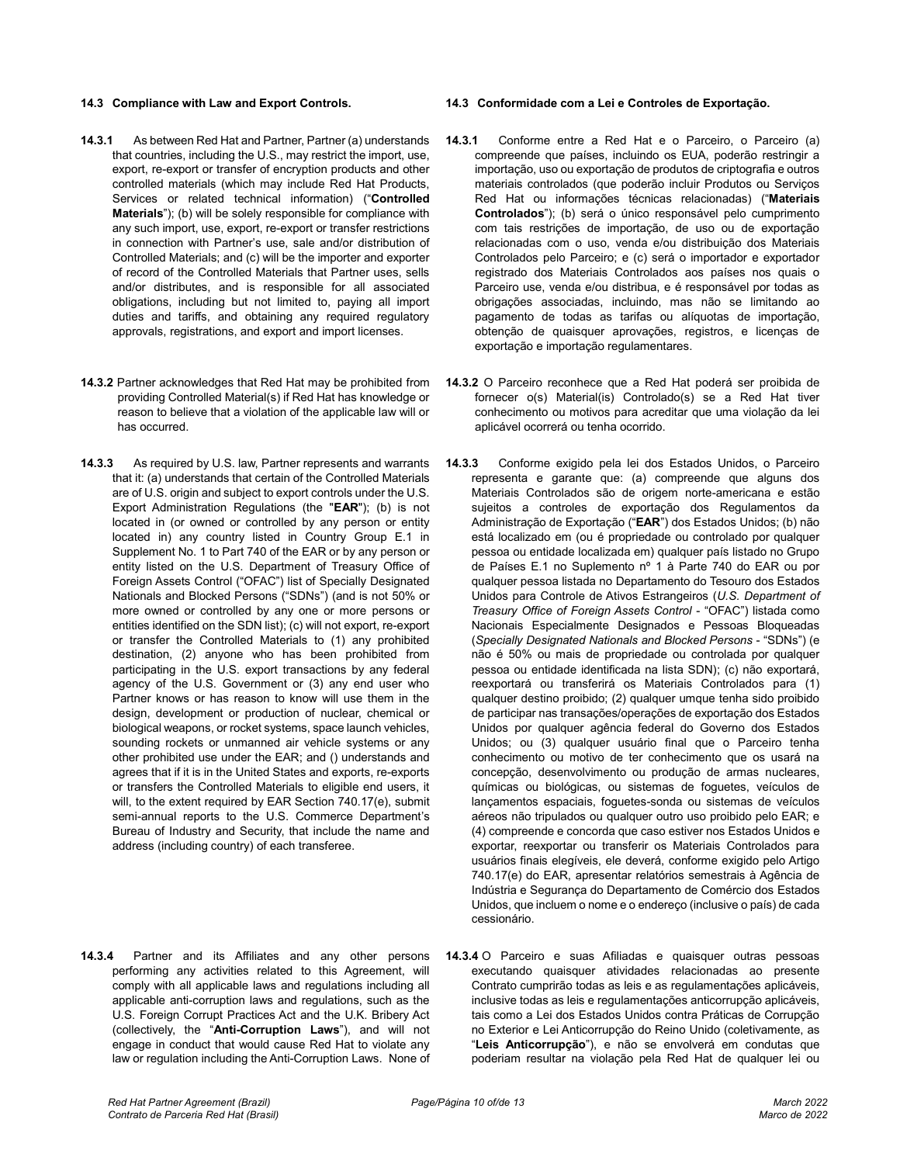- **14.3.1** As between Red Hat and Partner, Partner (a) understands that countries, including the U.S., may restrict the import, use, export, re-export or transfer of encryption products and other controlled materials (which may include Red Hat Products, Services or related technical information) ("**Controlled Materials**"); (b) will be solely responsible for compliance with any such import, use, export, re-export or transfer restrictions in connection with Partner's use, sale and/or distribution of Controlled Materials; and (c) will be the importer and exporter of record of the Controlled Materials that Partner uses, sells and/or distributes, and is responsible for all associated obligations, including but not limited to, paying all import duties and tariffs, and obtaining any required regulatory approvals, registrations, and export and import licenses.
- **14.3.2** Partner acknowledges that Red Hat may be prohibited from providing Controlled Material(s) if Red Hat has knowledge or reason to believe that a violation of the applicable law will or has occurred.
- **14.3.3** As required by U.S. law, Partner represents and warrants that it: (a) understands that certain of the Controlled Materials are of U.S. origin and subject to export controls under the U.S. Export Administration Regulations (the "**EAR**"); (b) is not located in (or owned or controlled by any person or entity located in) any country listed in Country Group E.1 in Supplement No. 1 to Part 740 of the EAR or by any person or entity listed on the U.S. Department of Treasury Office of Foreign Assets Control ("OFAC") list of Specially Designated Nationals and Blocked Persons ("SDNs") (and is not 50% or more owned or controlled by any one or more persons or entities identified on the SDN list); (c) will not export, re-export or transfer the Controlled Materials to (1) any prohibited destination, (2) anyone who has been prohibited from participating in the U.S. export transactions by any federal agency of the U.S. Government or (3) any end user who Partner knows or has reason to know will use them in the design, development or production of nuclear, chemical or biological weapons, or rocket systems, space launch vehicles, sounding rockets or unmanned air vehicle systems or any other prohibited use under the EAR; and () understands and agrees that if it is in the United States and exports, re-exports or transfers the Controlled Materials to eligible end users, it will, to the extent required by EAR Section 740.17(e), submit semi-annual reports to the U.S. Commerce Department's Bureau of Industry and Security, that include the name and address (including country) of each transferee.
- **14.3.4** Partner and its Affiliates and any other persons performing any activities related to this Agreement, will comply with all applicable laws and regulations including all applicable anti-corruption laws and regulations, such as the U.S. Foreign Corrupt Practices Act and the U.K. Bribery Act (collectively, the "**Anti-Corruption Laws**"), and will not engage in conduct that would cause Red Hat to violate any law or regulation including the Anti-Corruption Laws. None of

#### **14.3 Compliance with Law and Export Controls. 14.3 Conformidade com a Lei e Controles de Exportação.**

- **14.3.1** Conforme entre a Red Hat e o Parceiro, o Parceiro (a) compreende que países, incluindo os EUA, poderão restringir a importação, uso ou exportação de produtos de criptografia e outros materiais controlados (que poderão incluir Produtos ou Serviços Red Hat ou informações técnicas relacionadas) ("**Materiais Controlados**"); (b) será o único responsável pelo cumprimento com tais restrições de importação, de uso ou de exportação relacionadas com o uso, venda e/ou distribuição dos Materiais Controlados pelo Parceiro; e (c) será o importador e exportador registrado dos Materiais Controlados aos países nos quais o Parceiro use, venda e/ou distribua, e é responsável por todas as obrigações associadas, incluindo, mas não se limitando ao pagamento de todas as tarifas ou alíquotas de importação, obtenção de quaisquer aprovações, registros, e licenças de exportação e importação regulamentares.
- **14.3.2** O Parceiro reconhece que a Red Hat poderá ser proibida de fornecer o(s) Material(is) Controlado(s) se a Red Hat tiver conhecimento ou motivos para acreditar que uma violação da lei aplicável ocorrerá ou tenha ocorrido.
- **14.3.3** Conforme exigido pela lei dos Estados Unidos, o Parceiro representa e garante que: (a) compreende que alguns dos Materiais Controlados são de origem norte-americana e estão sujeitos a controles de exportação dos Regulamentos da Administração de Exportação ("**EAR**") dos Estados Unidos; (b) não está localizado em (ou é propriedade ou controlado por qualquer pessoa ou entidade localizada em) qualquer país listado no Grupo de Países E.1 no Suplemento nº 1 à Parte 740 do EAR ou por qualquer pessoa listada no Departamento do Tesouro dos Estados Unidos para Controle de Ativos Estrangeiros (*U.S. Department of Treasury Office of Foreign Assets Control* - "OFAC") listada como Nacionais Especialmente Designados e Pessoas Bloqueadas (*Specially Designated Nationals and Blocked Persons* - "SDNs") (e não é 50% ou mais de propriedade ou controlada por qualquer pessoa ou entidade identificada na lista SDN); (c) não exportará, reexportará ou transferirá os Materiais Controlados para (1) qualquer destino proibido; (2) qualquer umque tenha sido proibido de participar nas transações/operações de exportação dos Estados Unidos por qualquer agência federal do Governo dos Estados Unidos; ou (3) qualquer usuário final que o Parceiro tenha conhecimento ou motivo de ter conhecimento que os usará na concepção, desenvolvimento ou produção de armas nucleares, químicas ou biológicas, ou sistemas de foguetes, veículos de lançamentos espaciais, foguetes-sonda ou sistemas de veículos aéreos não tripulados ou qualquer outro uso proibido pelo EAR; e (4) compreende e concorda que caso estiver nos Estados Unidos e exportar, reexportar ou transferir os Materiais Controlados para usuários finais elegíveis, ele deverá, conforme exigido pelo Artigo 740.17(e) do EAR, apresentar relatórios semestrais à Agência de Indústria e Segurança do Departamento de Comércio dos Estados Unidos, que incluem o nome e o endereço (inclusive o país) de cada cessionário.
- **14.3.4** O Parceiro e suas Afiliadas e quaisquer outras pessoas executando quaisquer atividades relacionadas ao presente Contrato cumprirão todas as leis e as regulamentações aplicáveis, inclusive todas as leis e regulamentações anticorrupção aplicáveis, tais como a Lei dos Estados Unidos contra Práticas de Corrupção no Exterior e Lei Anticorrupção do Reino Unido (coletivamente, as "**Leis Anticorrupção**"), e não se envolverá em condutas que poderiam resultar na violação pela Red Hat de qualquer lei ou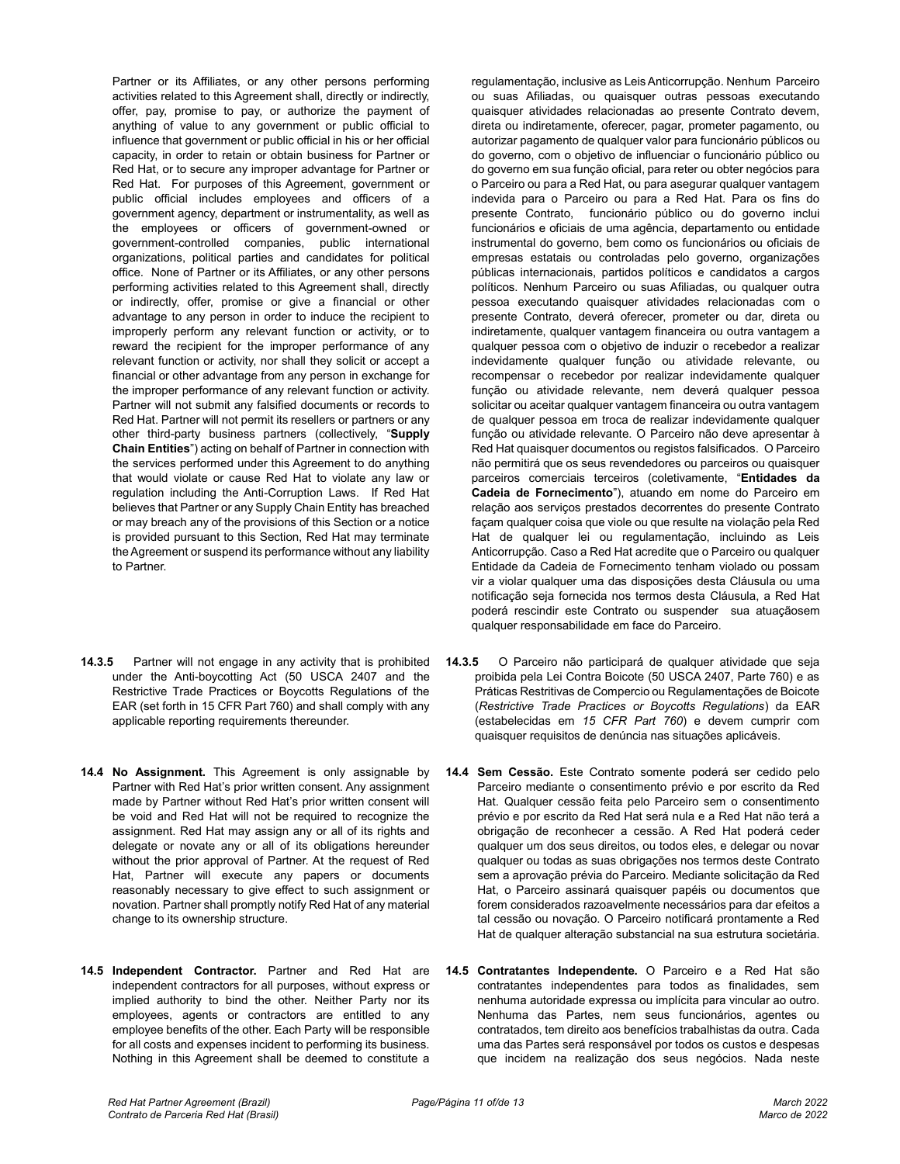Partner or its Affiliates, or any other persons performing activities related to this Agreement shall, directly or indirectly, offer, pay, promise to pay, or authorize the payment of anything of value to any government or public official to influence that government or public official in his or her official capacity, in order to retain or obtain business for Partner or Red Hat, or to secure any improper advantage for Partner or Red Hat. For purposes of this Agreement, government or public official includes employees and officers of a government agency, department or instrumentality, as well as the employees or officers of government-owned or government-controlled companies, public international organizations, political parties and candidates for political office. None of Partner or its Affiliates, or any other persons performing activities related to this Agreement shall, directly or indirectly, offer, promise or give a financial or other advantage to any person in order to induce the recipient to improperly perform any relevant function or activity, or to reward the recipient for the improper performance of any relevant function or activity, nor shall they solicit or accept a financial or other advantage from any person in exchange for the improper performance of any relevant function or activity. Partner will not submit any falsified documents or records to Red Hat. Partner will not permit its resellers or partners or any other third-party business partners (collectively, "**Supply Chain Entities**") acting on behalf of Partner in connection with the services performed under this Agreement to do anything that would violate or cause Red Hat to violate any law or regulation including the Anti-Corruption Laws. If Red Hat believes that Partner or any Supply Chain Entity has breached or may breach any of the provisions of this Section or a notice is provided pursuant to this Section, Red Hat may terminate the Agreement or suspend its performance without any liability to Partner.

- **14.3.5** Partner will not engage in any activity that is prohibited under the Anti-boycotting Act (50 USCA 2407 and the Restrictive Trade Practices or Boycotts Regulations of the EAR (set forth in 15 CFR Part 760) and shall comply with any applicable reporting requirements thereunder.
- **14.4 No Assignment.** This Agreement is only assignable by Partner with Red Hat's prior written consent. Any assignment made by Partner without Red Hat's prior written consent will be void and Red Hat will not be required to recognize the assignment. Red Hat may assign any or all of its rights and delegate or novate any or all of its obligations hereunder without the prior approval of Partner. At the request of Red Hat, Partner will execute any papers or documents reasonably necessary to give effect to such assignment or novation. Partner shall promptly notify Red Hat of any material change to its ownership structure.
- **14.5 Independent Contractor.** Partner and Red Hat are independent contractors for all purposes, without express or implied authority to bind the other. Neither Party nor its employees, agents or contractors are entitled to any employee benefits of the other. Each Party will be responsible for all costs and expenses incident to performing its business. Nothing in this Agreement shall be deemed to constitute a

regulamentação, inclusive as Leis Anticorrupção. Nenhum Parceiro ou suas Afiliadas, ou quaisquer outras pessoas executando quaisquer atividades relacionadas ao presente Contrato devem, direta ou indiretamente, oferecer, pagar, prometer pagamento, ou autorizar pagamento de qualquer valor para funcionário públicos ou do governo, com o objetivo de influenciar o funcionário público ou do governo em sua função oficial, para reter ou obter negócios para o Parceiro ou para a Red Hat, ou para asegurar qualquer vantagem indevida para o Parceiro ou para a Red Hat. Para os fins do presente Contrato, funcionário público ou do governo inclui funcionários e oficiais de uma agência, departamento ou entidade instrumental do governo, bem como os funcionários ou oficiais de empresas estatais ou controladas pelo governo, organizações públicas internacionais, partidos políticos e candidatos a cargos políticos. Nenhum Parceiro ou suas Afiliadas, ou qualquer outra pessoa executando quaisquer atividades relacionadas com o presente Contrato, deverá oferecer, prometer ou dar, direta ou indiretamente, qualquer vantagem financeira ou outra vantagem a qualquer pessoa com o objetivo de induzir o recebedor a realizar indevidamente qualquer função ou atividade relevante, ou recompensar o recebedor por realizar indevidamente qualquer função ou atividade relevante, nem deverá qualquer pessoa solicitar ou aceitar qualquer vantagem financeira ou outra vantagem de qualquer pessoa em troca de realizar indevidamente qualquer função ou atividade relevante. O Parceiro não deve apresentar à Red Hat quaisquer documentos ou registos falsificados. O Parceiro não permitirá que os seus revendedores ou parceiros ou quaisquer parceiros comerciais terceiros (coletivamente, "**Entidades da Cadeia de Fornecimento**"), atuando em nome do Parceiro em relação aos serviços prestados decorrentes do presente Contrato façam qualquer coisa que viole ou que resulte na violação pela Red Hat de qualquer lei ou regulamentação, incluindo as Leis Anticorrupção. Caso a Red Hat acredite que o Parceiro ou qualquer Entidade da Cadeia de Fornecimento tenham violado ou possam vir a violar qualquer uma das disposições desta Cláusula ou uma notificação seja fornecida nos termos desta Cláusula, a Red Hat poderá rescindir este Contrato ou suspender sua atuaçãosem qualquer responsabilidade em face do Parceiro.

- **14.3.5** O Parceiro não participará de qualquer atividade que seja proibida pela Lei Contra Boicote (50 USCA 2407, Parte 760) e as Práticas Restritivas de Compercio ou Regulamentações de Boicote (*Restrictive Trade Practices or Boycotts Regulations*) da EAR (estabelecidas em *15 CFR Part 760*) e devem cumprir com quaisquer requisitos de denúncia nas situações aplicáveis.
- **14.4 Sem Cessão.** Este Contrato somente poderá ser cedido pelo Parceiro mediante o consentimento prévio e por escrito da Red Hat. Qualquer cessão feita pelo Parceiro sem o consentimento prévio e por escrito da Red Hat será nula e a Red Hat não terá a obrigação de reconhecer a cessão. A Red Hat poderá ceder qualquer um dos seus direitos, ou todos eles, e delegar ou novar qualquer ou todas as suas obrigações nos termos deste Contrato sem a aprovação prévia do Parceiro. Mediante solicitação da Red Hat, o Parceiro assinará quaisquer papéis ou documentos que forem considerados razoavelmente necessários para dar efeitos a tal cessão ou novação. O Parceiro notificará prontamente a Red Hat de qualquer alteração substancial na sua estrutura societária.
- **14.5 Contratantes Independente.** O Parceiro e a Red Hat são contratantes independentes para todos as finalidades, sem nenhuma autoridade expressa ou implícita para vincular ao outro. Nenhuma das Partes, nem seus funcionários, agentes ou contratados, tem direito aos benefícios trabalhistas da outra. Cada uma das Partes será responsável por todos os custos e despesas que incidem na realização dos seus negócios. Nada neste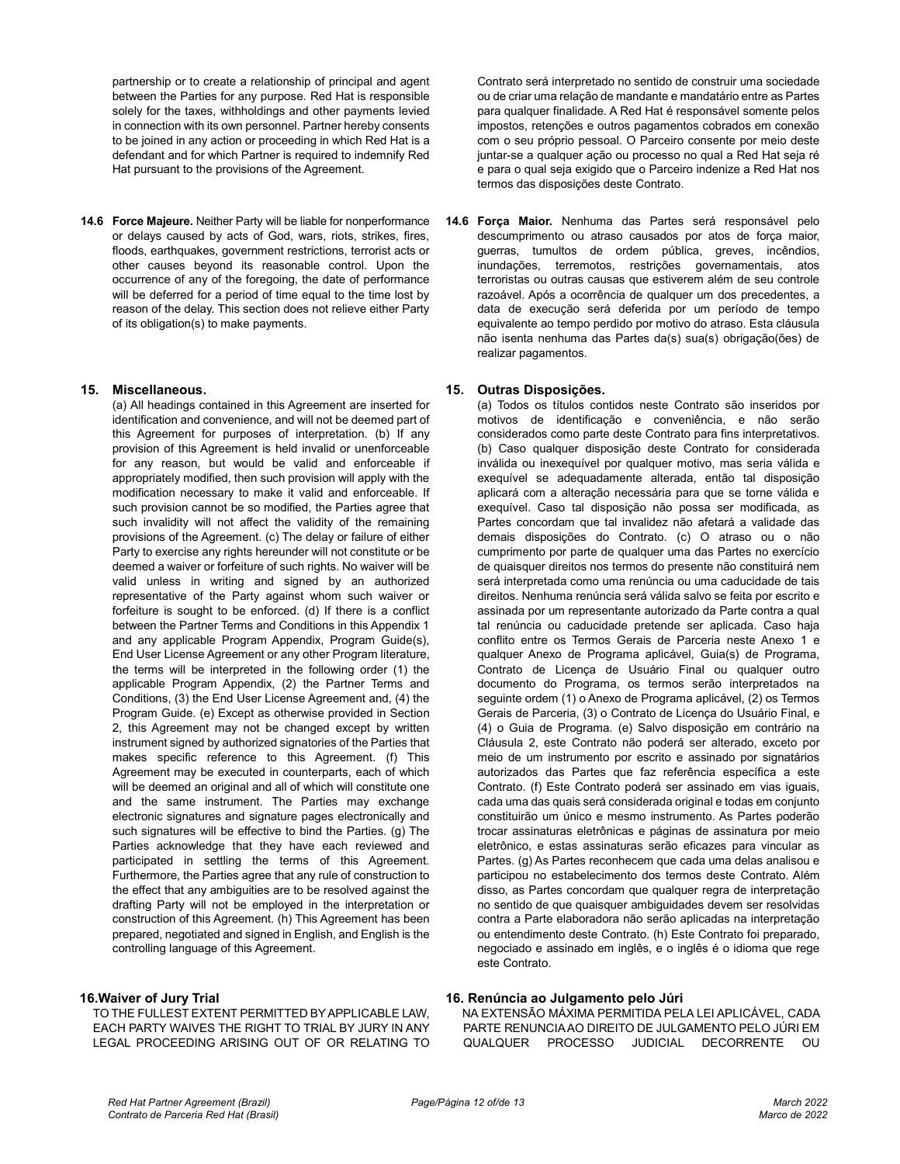partnership or to create a relationship of principal and agent between the Parties for any purpose. Red Hat is responsible solely for the taxes, withholdings and other payments levied in connection with its own personnel. Partner hereby consents to be joined in any action or proceeding in which Red Hat is a defendant and for which Partner is required to indemnify Red Hat pursuant to the provisions of the Agreement.

**14.6 Force Majeure.** Neither Party will be liable for nonperformance or delays caused by acts of God, wars, riots, strikes, fires, floods, earthquakes, government restrictions, terrorist acts or other causes beyond its reasonable control. Upon the occurrence of any of the foregoing, the date of performance will be deferred for a period of time equal to the time lost by reason of the delay. This section does not relieve either Party of its obligation(s) to make payments.

#### **15. Miscellaneous.**

(a) All headings contained in this Agreement are inserted for identification and convenience, and will not be deemed part of this Agreement for purposes of interpretation. (b) If any provision of this Agreement is held invalid or unenforceable for any reason, but would be valid and enforceable if appropriately modified, then such provision will apply with the modification necessary to make it valid and enforceable. If such provision cannot be so modified, the Parties agree that such invalidity will not affect the validity of the remaining provisions of the Agreement. (c) The delay or failure of either Party to exercise any rights hereunder will not constitute or be deemed a waiver or forfeiture of such rights. No waiver will be valid unless in writing and signed by an authorized representative of the Party against whom such waiver or forfeiture is sought to be enforced. (d) If there is a conflict between the Partner Terms and Conditions in this Appendix 1 and any applicable Program Appendix, Program Guide(s), End User License Agreement or any other Program literature, the terms will be interpreted in the following order (1) the applicable Program Appendix, (2) the Partner Terms and Conditions, (3) the End User License Agreement and, (4) the Program Guide. (e) Except as otherwise provided in Section 2, this Agreement may not be changed except by written instrument signed by authorized signatories of the Parties that makes specific reference to this Agreement. (f) This Agreement may be executed in counterparts, each of which will be deemed an original and all of which will constitute one and the same instrument. The Parties may exchange electronic signatures and signature pages electronically and such signatures will be effective to bind the Parties. (g) The Parties acknowledge that they have each reviewed and participated in settling the terms of this Agreement. Furthermore, the Parties agree that any rule of construction to the effect that any ambiguities are to be resolved against the drafting Party will not be employed in the interpretation or construction of this Agreement. (h) This Agreement has been prepared, negotiated and signed in English, and English is the controlling language of this Agreement.

# **16.Waiver of Jury Trial**

TO THE FULLEST EXTENT PERMITTED BY APPLICABLE LAW, EACH PARTY WAIVES THE RIGHT TO TRIAL BY JURY IN ANY LEGAL PROCEEDING ARISING OUT OF OR RELATING TO Contrato será interpretado no sentido de construir uma sociedade ou de criar uma relação de mandante e mandatário entre as Partes para qualquer finalidade. A Red Hat é responsável somente pelos impostos, retenções e outros pagamentos cobrados em conexão com o seu próprio pessoal. O Parceiro consente por meio deste juntar-se a qualquer ação ou processo no qual a Red Hat seja ré e para o qual seja exigido que o Parceiro indenize a Red Hat nos termos das disposições deste Contrato.

**14.6 Força Maior.** Nenhuma das Partes será responsável pelo descumprimento ou atraso causados por atos de força maior, guerras, tumultos de ordem pública, greves, incêndios, inundações, terremotos, restrições governamentais, atos terroristas ou outras causas que estiverem além de seu controle razoável. Após a ocorrência de qualquer um dos precedentes, a data de execução será deferida por um período de tempo equivalente ao tempo perdido por motivo do atraso. Esta cláusula não isenta nenhuma das Partes da(s) sua(s) obrigação(ões) de realizar pagamentos.

#### **15. Outras Disposições.**

(a) Todos os títulos contidos neste Contrato são inseridos por motivos de identificação e conveniência, e não serão considerados como parte deste Contrato para fins interpretativos. (b) Caso qualquer disposição deste Contrato for considerada inválida ou inexequível por qualquer motivo, mas seria válida e exequível se adequadamente alterada, então tal disposição aplicará com a alteração necessária para que se torne válida e exequível. Caso tal disposição não possa ser modificada, as Partes concordam que tal invalidez não afetará a validade das demais disposições do Contrato. (c) O atraso ou o não cumprimento por parte de qualquer uma das Partes no exercício de quaisquer direitos nos termos do presente não constituirá nem será interpretada como uma renúncia ou uma caducidade de tais direitos. Nenhuma renúncia será válida salvo se feita por escrito e assinada por um representante autorizado da Parte contra a qual tal renúncia ou caducidade pretende ser aplicada. Caso haja conflito entre os Termos Gerais de Parceria neste Anexo 1 e qualquer Anexo de Programa aplicável, Guia(s) de Programa, Contrato de Licença de Usuário Final ou qualquer outro documento do Programa, os termos serão interpretados na seguinte ordem (1) o Anexo de Programa aplicável, (2) os Termos Gerais de Parceria, (3) o Contrato de Licença do Usuário Final, e (4) o Guia de Programa. (e) Salvo disposição em contrário na Cláusula 2, este Contrato não poderá ser alterado, exceto por meio de um instrumento por escrito e assinado por signatários autorizados das Partes que faz referência específica a este Contrato. (f) Este Contrato poderá ser assinado em vias iguais, cada uma das quais será considerada original e todas em conjunto constituirão um único e mesmo instrumento. As Partes poderão trocar assinaturas eletrônicas e páginas de assinatura por meio eletrônico, e estas assinaturas serão eficazes para vincular as Partes. (g) As Partes reconhecem que cada uma delas analisou e participou no estabelecimento dos termos deste Contrato. Além disso, as Partes concordam que qualquer regra de interpretação no sentido de que quaisquer ambiguidades devem ser resolvidas contra a Parte elaboradora não serão aplicadas na interpretação ou entendimento deste Contrato. (h) Este Contrato foi preparado, negociado e assinado em inglês, e o inglês é o idioma que rege este Contrato.

#### **16. Renúncia ao Julgamento pelo Júri**

NA EXTENSÃO MÁXIMA PERMITIDA PELA LEI APLICÁVEL, CADA PARTE RENUNCIA AO DIREITO DE JULGAMENTO PELO JÚRI EM QUALQUER PROCESSO JUDICIAL DECORRENTE OU